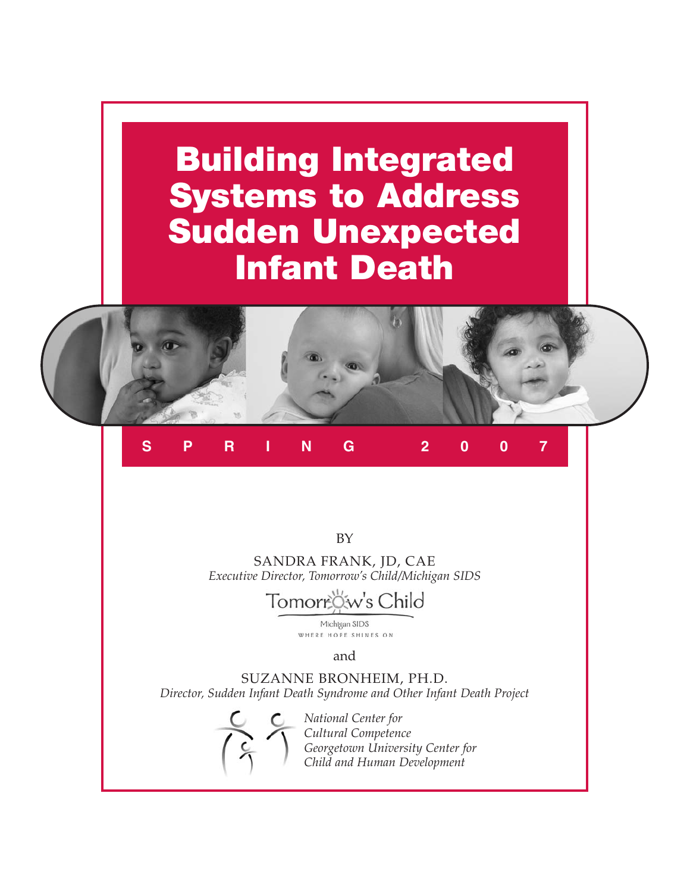# **Building Integrated Systems to Address Sudden Unexpected Infant Death**



# **SPRING 2007**

BY

SANDRA FRANK, JD, CAE *Executive Director, Tomorrow's Child/Michigan SIDS*

# Tomorrow's Child

Michigan SIDS WHERE HOPE SHINES ON

and

SUZANNE BRONHEIM, PH.D. *Director, Sudden Infant Death Syndrome and Other Infant Death Project*



*National Center for Cultural Competence Georgetown University Center for Child and Human Development*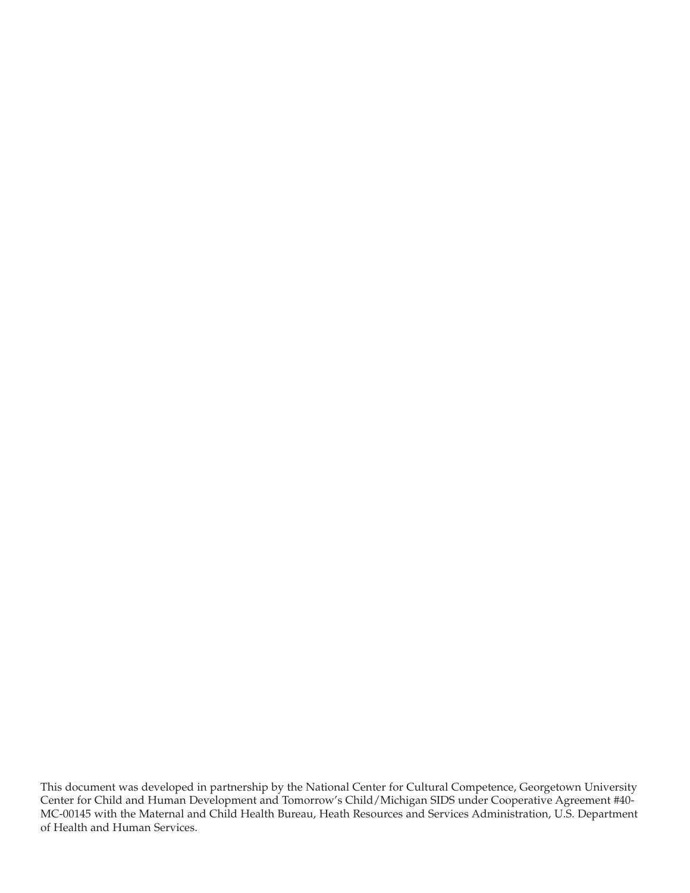This document was developed in partnership by the National Center for Cultural Competence, Georgetown University Center for Child and Human Development and Tomorrow's Child/Michigan SIDS under Cooperative Agreement #40- MC-00145 with the Maternal and Child Health Bureau, Heath Resources and Services Administration, U.S. Department of Health and Human Services.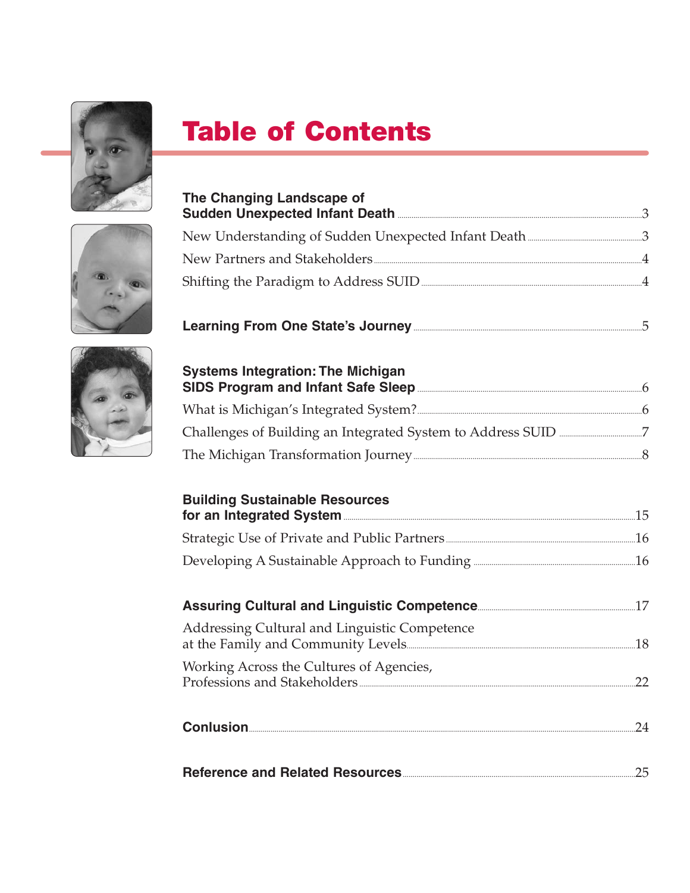

# **Table of Contents**

| The Changing Landscape of                                                                 |     |
|-------------------------------------------------------------------------------------------|-----|
|                                                                                           |     |
|                                                                                           |     |
|                                                                                           |     |
| Shifting the Paradigm to Address SUID <b>Shifting</b> the Paradigm to Address SUID        |     |
|                                                                                           |     |
| <b>Systems Integration: The Michigan</b>                                                  |     |
|                                                                                           |     |
|                                                                                           |     |
|                                                                                           |     |
| <b>Building Sustainable Resources</b><br>for an Integrated System <b>Exercise 2018</b> 15 |     |
|                                                                                           |     |
| Developing A Sustainable Approach to Funding <b>Manual According</b> 26                   |     |
|                                                                                           |     |
| Addressing Cultural and Linguistic Competence                                             |     |
| Working Across the Cultures of Agencies,                                                  |     |
|                                                                                           | 24  |
| <b>Reference and Related Resources</b>                                                    | 25. |

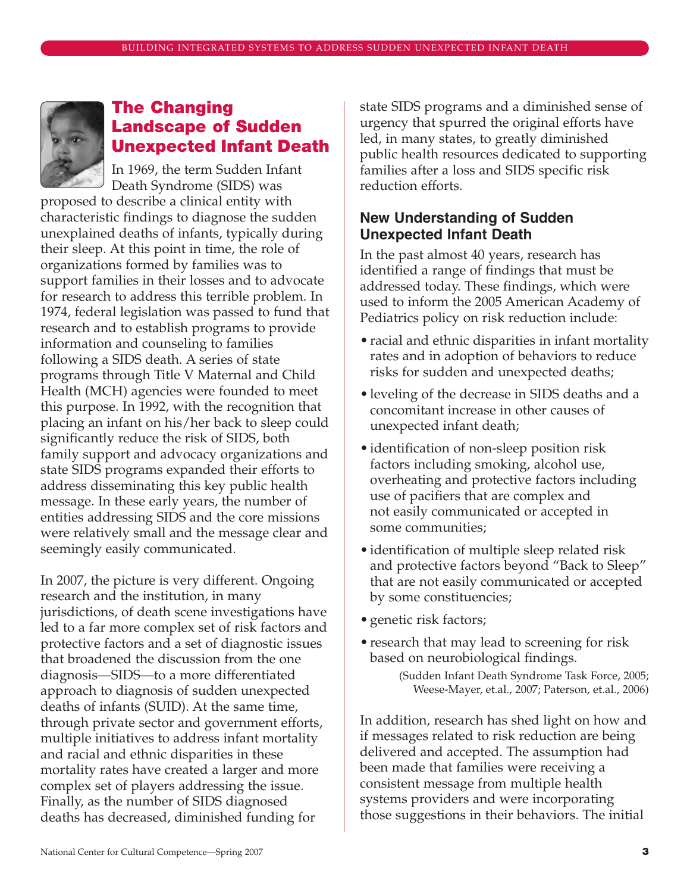

# **The Changing Landscape of Sudden Unexpected Infant Death**

In 1969, the term Sudden Infant Death Syndrome (SIDS) was

proposed to describe a clinical entity with characteristic findings to diagnose the sudden unexplained deaths of infants, typically during their sleep. At this point in time, the role of organizations formed by families was to support families in their losses and to advocate for research to address this terrible problem. In 1974, federal legislation was passed to fund that research and to establish programs to provide information and counseling to families following a SIDS death. A series of state programs through Title V Maternal and Child Health (MCH) agencies were founded to meet this purpose. In 1992, with the recognition that placing an infant on his/her back to sleep could significantly reduce the risk of SIDS, both family support and advocacy organizations and state SIDS programs expanded their efforts to address disseminating this key public health message. In these early years, the number of entities addressing SIDS and the core missions were relatively small and the message clear and seemingly easily communicated.

In 2007, the picture is very different. Ongoing research and the institution, in many jurisdictions, of death scene investigations have led to a far more complex set of risk factors and protective factors and a set of diagnostic issues that broadened the discussion from the one diagnosis—SIDS—to a more differentiated approach to diagnosis of sudden unexpected deaths of infants (SUID). At the same time, through private sector and government efforts, multiple initiatives to address infant mortality and racial and ethnic disparities in these mortality rates have created a larger and more complex set of players addressing the issue. Finally, as the number of SIDS diagnosed deaths has decreased, diminished funding for

state SIDS programs and a diminished sense of urgency that spurred the original efforts have led, in many states, to greatly diminished public health resources dedicated to supporting families after a loss and SIDS specific risk reduction efforts.

# **New Understanding of Sudden Unexpected Infant Death**

In the past almost 40 years, research has identified a range of findings that must be addressed today. These findings, which were used to inform the 2005 American Academy of Pediatrics policy on risk reduction include:

- racial and ethnic disparities in infant mortality rates and in adoption of behaviors to reduce risks for sudden and unexpected deaths;
- leveling of the decrease in SIDS deaths and a concomitant increase in other causes of unexpected infant death;
- identification of non-sleep position risk factors including smoking, alcohol use, overheating and protective factors including use of pacifiers that are complex and not easily communicated or accepted in some communities;
- identification of multiple sleep related risk and protective factors beyond "Back to Sleep" that are not easily communicated or accepted by some constituencies;
- genetic risk factors;
- research that may lead to screening for risk based on neurobiological findings.

In addition, research has shed light on how and if messages related to risk reduction are being delivered and accepted. The assumption had been made that families were receiving a consistent message from multiple health systems providers and were incorporating those suggestions in their behaviors. The initial

<sup>(</sup>Sudden Infant Death Syndrome Task Force, 2005; Weese-Mayer, et.al., 2007; Paterson, et.al., 2006)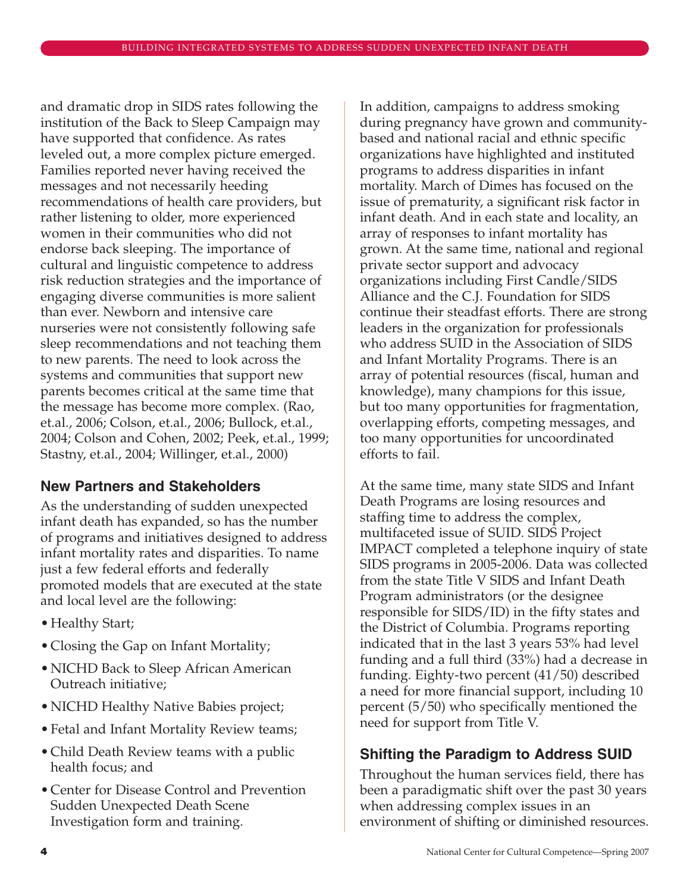and dramatic drop in SIDS rates following the institution of the Back to Sleep Campaign may have supported that confidence. As rates leveled out, a more complex picture emerged. Families reported never having received the messages and not necessarily heeding recommendations of health care providers, but rather listening to older, more experienced women in their communities who did not endorse back sleeping. The importance of cultural and linguistic competence to address risk reduction strategies and the importance of engaging diverse communities is more salient than ever. Newborn and intensive care nurseries were not consistently following safe sleep recommendations and not teaching them to new parents. The need to look across the systems and communities that support new parents becomes critical at the same time that the message has become more complex. (Rao, et.al., 2006; Colson, et.al., 2006; Bullock, et.al., 2004; Colson and Cohen, 2002; Peek, et.al., 1999; Stastny, et.al., 2004; Willinger, et.al., 2000)

# **New Partners and Stakeholders**

As the understanding of sudden unexpected infant death has expanded, so has the number of programs and initiatives designed to address infant mortality rates and disparities. To name just a few federal efforts and federally promoted models that are executed at the state and local level are the following:

- Healthy Start;
- Closing the Gap on Infant Mortality;
- NICHD Back to Sleep African American Outreach initiative;
- NICHD Healthy Native Babies project;
- Fetal and Infant Mortality Review teams;
- Child Death Review teams with a public health focus; and
- Center for Disease Control and Prevention Sudden Unexpected Death Scene Investigation form and training.

In addition, campaigns to address smoking during pregnancy have grown and communitybased and national racial and ethnic specific organizations have highlighted and instituted programs to address disparities in infant mortality. March of Dimes has focused on the issue of prematurity, a significant risk factor in infant death. And in each state and locality, an array of responses to infant mortality has grown. At the same time, national and regional private sector support and advocacy organizations including First Candle/SIDS Alliance and the C.J. Foundation for SIDS continue their steadfast efforts. There are strong leaders in the organization for professionals who address SUID in the Association of SIDS and Infant Mortality Programs. There is an array of potential resources (fiscal, human and knowledge), many champions for this issue, but too many opportunities for fragmentation, overlapping efforts, competing messages, and too many opportunities for uncoordinated efforts to fail.

At the same time, many state SIDS and Infant Death Programs are losing resources and staffing time to address the complex, multifaceted issue of SUID. SIDS Project IMPACT completed a telephone inquiry of state SIDS programs in 2005-2006. Data was collected from the state Title V SIDS and Infant Death Program administrators (or the designee responsible for SIDS/ID) in the fifty states and the District of Columbia. Programs reporting indicated that in the last 3 years 53% had level funding and a full third (33%) had a decrease in funding. Eighty-two percent (41/50) described a need for more financial support, including 10 percent (5/50) who specifically mentioned the need for support from Title V.

# **Shifting the Paradigm to Address SUID**

Throughout the human services field, there has been a paradigmatic shift over the past 30 years when addressing complex issues in an environment of shifting or diminished resources.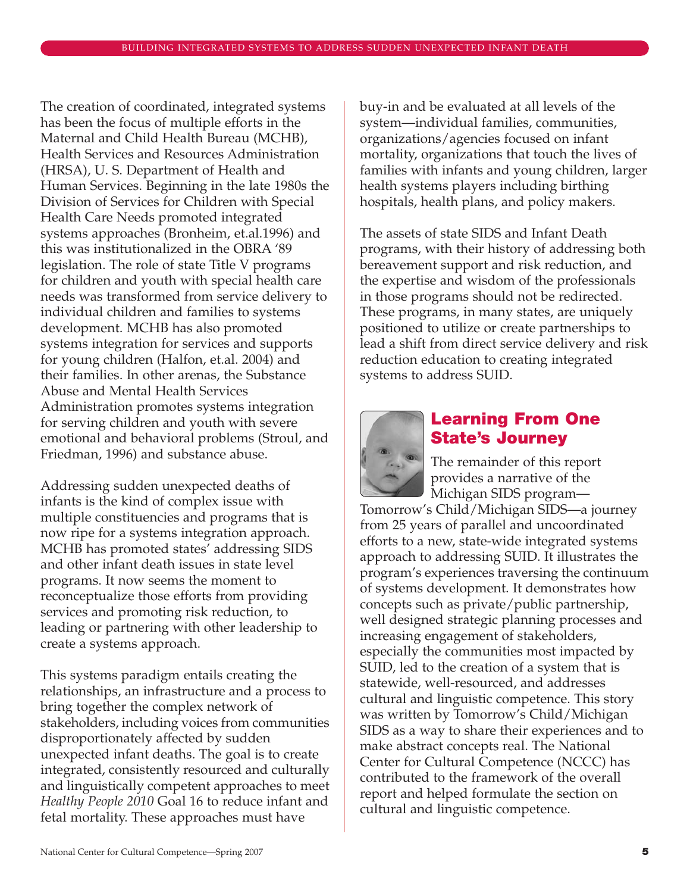The creation of coordinated, integrated systems has been the focus of multiple efforts in the Maternal and Child Health Bureau (MCHB), Health Services and Resources Administration (HRSA), U. S. Department of Health and Human Services. Beginning in the late 1980s the Division of Services for Children with Special Health Care Needs promoted integrated systems approaches (Bronheim, et.al.1996) and this was institutionalized in the OBRA '89 legislation. The role of state Title V programs for children and youth with special health care needs was transformed from service delivery to individual children and families to systems development. MCHB has also promoted systems integration for services and supports for young children (Halfon, et.al. 2004) and their families. In other arenas, the Substance Abuse and Mental Health Services Administration promotes systems integration for serving children and youth with severe emotional and behavioral problems (Stroul, and Friedman, 1996) and substance abuse.

Addressing sudden unexpected deaths of infants is the kind of complex issue with multiple constituencies and programs that is now ripe for a systems integration approach. MCHB has promoted states' addressing SIDS and other infant death issues in state level programs. It now seems the moment to reconceptualize those efforts from providing services and promoting risk reduction, to leading or partnering with other leadership to create a systems approach.

This systems paradigm entails creating the relationships, an infrastructure and a process to bring together the complex network of stakeholders, including voices from communities disproportionately affected by sudden unexpected infant deaths. The goal is to create integrated, consistently resourced and culturally and linguistically competent approaches to meet *Healthy People 2010* Goal 16 to reduce infant and fetal mortality. These approaches must have

buy-in and be evaluated at all levels of the system—individual families, communities, organizations/agencies focused on infant mortality, organizations that touch the lives of families with infants and young children, larger health systems players including birthing hospitals, health plans, and policy makers.

The assets of state SIDS and Infant Death programs, with their history of addressing both bereavement support and risk reduction, and the expertise and wisdom of the professionals in those programs should not be redirected. These programs, in many states, are uniquely positioned to utilize or create partnerships to lead a shift from direct service delivery and risk reduction education to creating integrated systems to address SUID.



# **Learning From One State's Journey**

The remainder of this report provides a narrative of the Michigan SIDS program—

Tomorrow's Child/Michigan SIDS—a journey from 25 years of parallel and uncoordinated efforts to a new, state-wide integrated systems approach to addressing SUID. It illustrates the program's experiences traversing the continuum of systems development. It demonstrates how concepts such as private/public partnership, well designed strategic planning processes and increasing engagement of stakeholders, especially the communities most impacted by SUID, led to the creation of a system that is statewide, well-resourced, and addresses cultural and linguistic competence. This story was written by Tomorrow's Child/Michigan SIDS as a way to share their experiences and to make abstract concepts real. The National Center for Cultural Competence (NCCC) has contributed to the framework of the overall report and helped formulate the section on cultural and linguistic competence.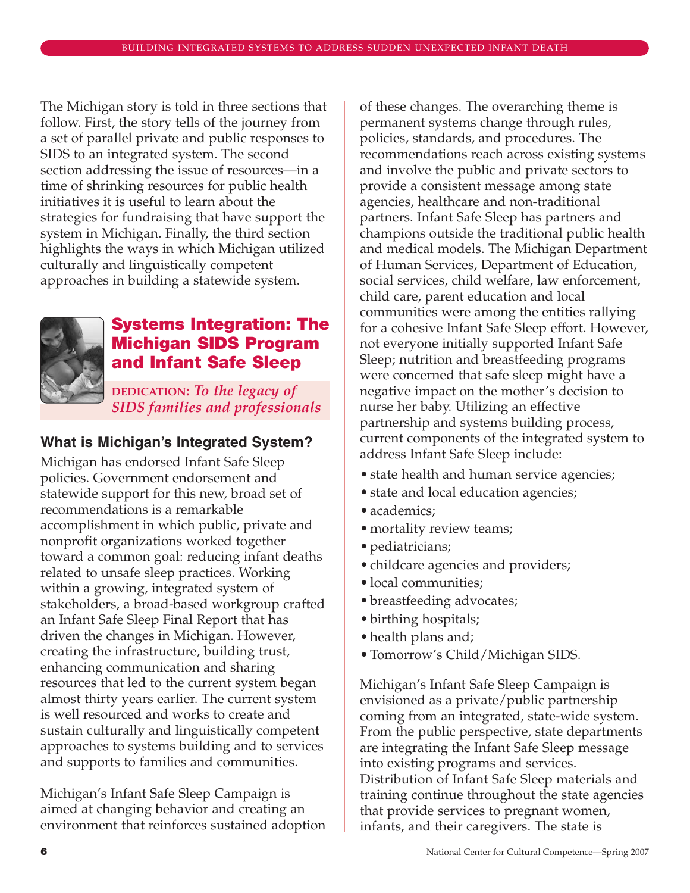The Michigan story is told in three sections that follow. First, the story tells of the journey from a set of parallel private and public responses to SIDS to an integrated system. The second section addressing the issue of resources—in a time of shrinking resources for public health initiatives it is useful to learn about the strategies for fundraising that have support the system in Michigan. Finally, the third section highlights the ways in which Michigan utilized culturally and linguistically competent approaches in building a statewide system.



# **Systems Integration: The Michigan SIDS Program and Infant Safe Sleep**

**DEDICATION:** *To the legacy of SIDS families and professionals*

# **What is Michigan's Integrated System?**

Michigan has endorsed Infant Safe Sleep policies. Government endorsement and statewide support for this new, broad set of recommendations is a remarkable accomplishment in which public, private and nonprofit organizations worked together toward a common goal: reducing infant deaths related to unsafe sleep practices. Working within a growing, integrated system of stakeholders, a broad-based workgroup crafted an Infant Safe Sleep Final Report that has driven the changes in Michigan. However, creating the infrastructure, building trust, enhancing communication and sharing resources that led to the current system began almost thirty years earlier. The current system is well resourced and works to create and sustain culturally and linguistically competent approaches to systems building and to services and supports to families and communities.

Michigan's Infant Safe Sleep Campaign is aimed at changing behavior and creating an environment that reinforces sustained adoption

of these changes. The overarching theme is permanent systems change through rules, policies, standards, and procedures. The recommendations reach across existing systems and involve the public and private sectors to provide a consistent message among state agencies, healthcare and non-traditional partners. Infant Safe Sleep has partners and champions outside the traditional public health and medical models. The Michigan Department of Human Services, Department of Education, social services, child welfare, law enforcement, child care, parent education and local communities were among the entities rallying for a cohesive Infant Safe Sleep effort. However, not everyone initially supported Infant Safe Sleep; nutrition and breastfeeding programs were concerned that safe sleep might have a negative impact on the mother's decision to nurse her baby. Utilizing an effective partnership and systems building process, current components of the integrated system to address Infant Safe Sleep include:

- state health and human service agencies;
- state and local education agencies;
- academics;
- mortality review teams;
- pediatricians;
- childcare agencies and providers;
- local communities;
- breastfeeding advocates;
- birthing hospitals;
- health plans and;
- Tomorrow's Child/Michigan SIDS.

Michigan's Infant Safe Sleep Campaign is envisioned as a private/public partnership coming from an integrated, state-wide system. From the public perspective, state departments are integrating the Infant Safe Sleep message into existing programs and services. Distribution of Infant Safe Sleep materials and training continue throughout the state agencies that provide services to pregnant women, infants, and their caregivers. The state is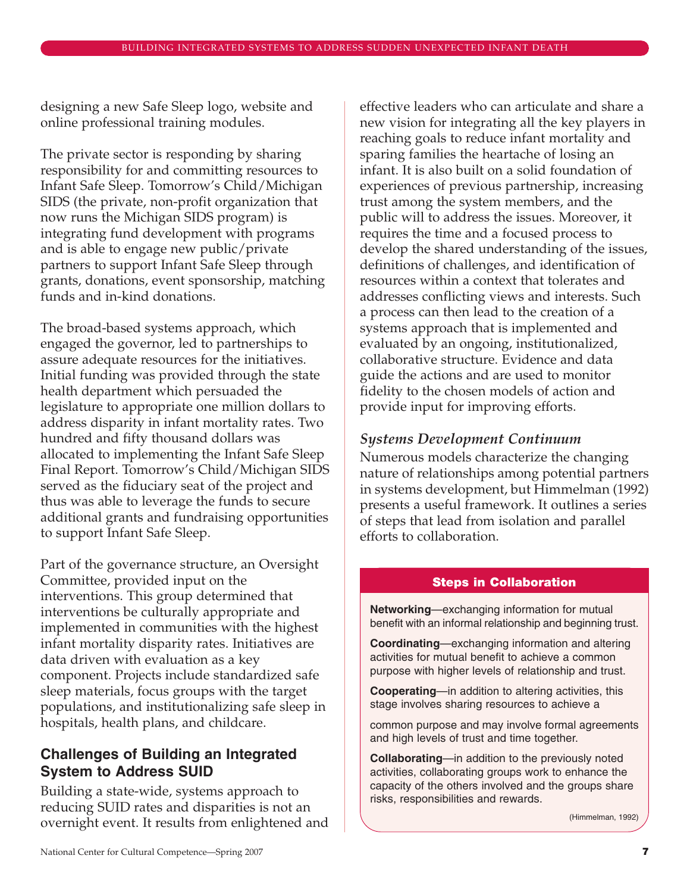designing a new Safe Sleep logo, website and online professional training modules.

The private sector is responding by sharing responsibility for and committing resources to Infant Safe Sleep. Tomorrow's Child/Michigan SIDS (the private, non-profit organization that now runs the Michigan SIDS program) is integrating fund development with programs and is able to engage new public/private partners to support Infant Safe Sleep through grants, donations, event sponsorship, matching funds and in-kind donations.

The broad-based systems approach, which engaged the governor, led to partnerships to assure adequate resources for the initiatives. Initial funding was provided through the state health department which persuaded the legislature to appropriate one million dollars to address disparity in infant mortality rates. Two hundred and fifty thousand dollars was allocated to implementing the Infant Safe Sleep Final Report. Tomorrow's Child/Michigan SIDS served as the fiduciary seat of the project and thus was able to leverage the funds to secure additional grants and fundraising opportunities to support Infant Safe Sleep.

Part of the governance structure, an Oversight Committee, provided input on the interventions. This group determined that interventions be culturally appropriate and implemented in communities with the highest infant mortality disparity rates. Initiatives are data driven with evaluation as a key component. Projects include standardized safe sleep materials, focus groups with the target populations, and institutionalizing safe sleep in hospitals, health plans, and childcare.

# **Challenges of Building an Integrated System to Address SUID**

Building a state-wide, systems approach to reducing SUID rates and disparities is not an overnight event. It results from enlightened and

effective leaders who can articulate and share a new vision for integrating all the key players in reaching goals to reduce infant mortality and sparing families the heartache of losing an infant. It is also built on a solid foundation of experiences of previous partnership, increasing trust among the system members, and the public will to address the issues. Moreover, it requires the time and a focused process to develop the shared understanding of the issues, definitions of challenges, and identification of resources within a context that tolerates and addresses conflicting views and interests. Such a process can then lead to the creation of a systems approach that is implemented and evaluated by an ongoing, institutionalized, collaborative structure. Evidence and data guide the actions and are used to monitor fidelity to the chosen models of action and provide input for improving efforts.

# *Systems Development Continuum*

Numerous models characterize the changing nature of relationships among potential partners in systems development, but Himmelman (1992) presents a useful framework. It outlines a series of steps that lead from isolation and parallel efforts to collaboration.

### **Steps in Collaboration**

**Networking**—exchanging information for mutual benefit with an informal relationship and beginning trust.

**Coordinating**—exchanging information and altering activities for mutual benefit to achieve a common purpose with higher levels of relationship and trust.

**Cooperating**—in addition to altering activities, this stage involves sharing resources to achieve a

common purpose and may involve formal agreements and high levels of trust and time together.

**Collaborating**—in addition to the previously noted activities, collaborating groups work to enhance the capacity of the others involved and the groups share risks, responsibilities and rewards.

(Himmelman, 1992)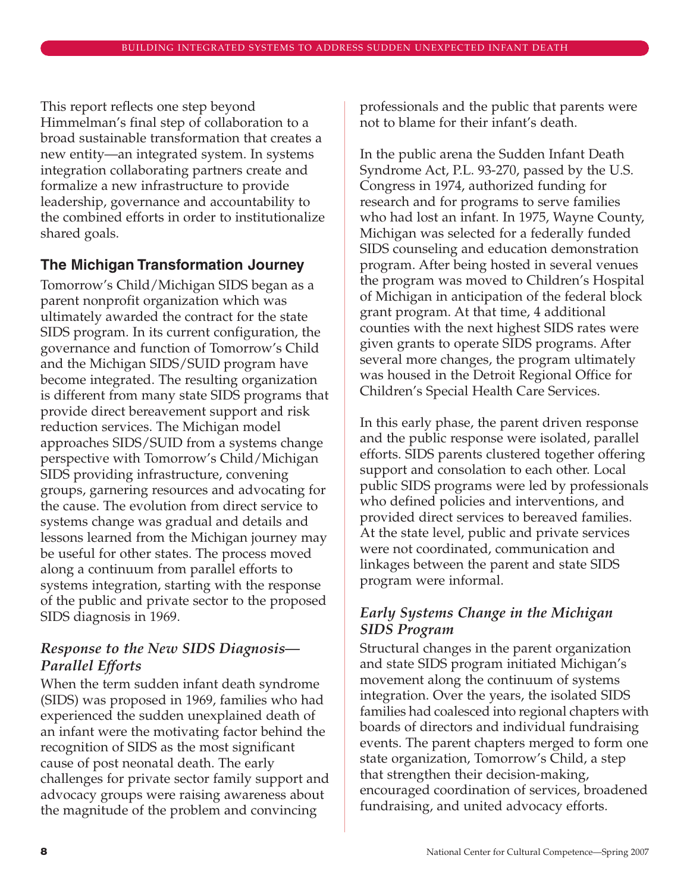This report reflects one step beyond Himmelman's final step of collaboration to a broad sustainable transformation that creates a new entity—an integrated system. In systems integration collaborating partners create and formalize a new infrastructure to provide leadership, governance and accountability to the combined efforts in order to institutionalize shared goals.

# **The Michigan Transformation Journey**

Tomorrow's Child/Michigan SIDS began as a parent nonprofit organization which was ultimately awarded the contract for the state SIDS program. In its current configuration, the governance and function of Tomorrow's Child and the Michigan SIDS/SUID program have become integrated. The resulting organization is different from many state SIDS programs that provide direct bereavement support and risk reduction services. The Michigan model approaches SIDS/SUID from a systems change perspective with Tomorrow's Child/Michigan SIDS providing infrastructure, convening groups, garnering resources and advocating for the cause. The evolution from direct service to systems change was gradual and details and lessons learned from the Michigan journey may be useful for other states. The process moved along a continuum from parallel efforts to systems integration, starting with the response of the public and private sector to the proposed SIDS diagnosis in 1969.

# *Response to the New SIDS Diagnosis— Parallel Efforts*

When the term sudden infant death syndrome (SIDS) was proposed in 1969, families who had experienced the sudden unexplained death of an infant were the motivating factor behind the recognition of SIDS as the most significant cause of post neonatal death. The early challenges for private sector family support and advocacy groups were raising awareness about the magnitude of the problem and convincing

professionals and the public that parents were not to blame for their infant's death.

In the public arena the Sudden Infant Death Syndrome Act, P.L. 93-270, passed by the U.S. Congress in 1974, authorized funding for research and for programs to serve families who had lost an infant. In 1975, Wayne County, Michigan was selected for a federally funded SIDS counseling and education demonstration program. After being hosted in several venues the program was moved to Children's Hospital of Michigan in anticipation of the federal block grant program. At that time, 4 additional counties with the next highest SIDS rates were given grants to operate SIDS programs. After several more changes, the program ultimately was housed in the Detroit Regional Office for Children's Special Health Care Services.

In this early phase, the parent driven response and the public response were isolated, parallel efforts. SIDS parents clustered together offering support and consolation to each other. Local public SIDS programs were led by professionals who defined policies and interventions, and provided direct services to bereaved families. At the state level, public and private services were not coordinated, communication and linkages between the parent and state SIDS program were informal.

# *Early Systems Change in the Michigan SIDS Program*

Structural changes in the parent organization and state SIDS program initiated Michigan's movement along the continuum of systems integration. Over the years, the isolated SIDS families had coalesced into regional chapters with boards of directors and individual fundraising events. The parent chapters merged to form one state organization, Tomorrow's Child, a step that strengthen their decision-making, encouraged coordination of services, broadened fundraising, and united advocacy efforts.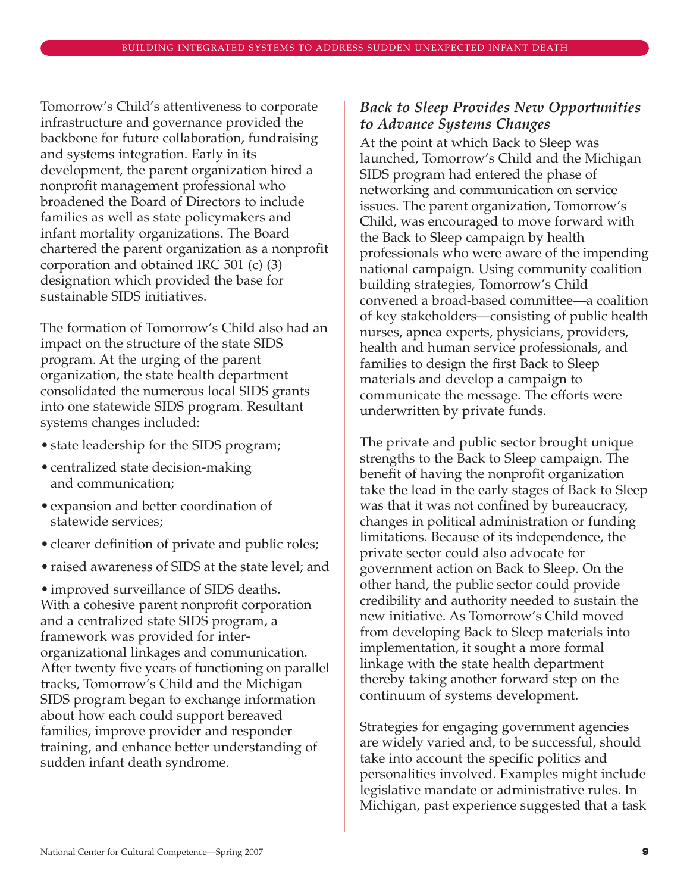Tomorrow's Child's attentiveness to corporate infrastructure and governance provided the backbone for future collaboration, fundraising and systems integration. Early in its development, the parent organization hired a nonprofit management professional who broadened the Board of Directors to include families as well as state policymakers and infant mortality organizations. The Board chartered the parent organization as a nonprofit corporation and obtained IRC 501 (c) (3) designation which provided the base for sustainable SIDS initiatives.

The formation of Tomorrow's Child also had an impact on the structure of the state SIDS program. At the urging of the parent organization, the state health department consolidated the numerous local SIDS grants into one statewide SIDS program. Resultant systems changes included:

- state leadership for the SIDS program;
- centralized state decision-making and communication;
- expansion and better coordination of statewide services;
- clearer definition of private and public roles;
- raised awareness of SIDS at the state level; and

• improved surveillance of SIDS deaths. With a cohesive parent nonprofit corporation and a centralized state SIDS program, a framework was provided for interorganizational linkages and communication. After twenty five years of functioning on parallel tracks, Tomorrow's Child and the Michigan SIDS program began to exchange information about how each could support bereaved families, improve provider and responder training, and enhance better understanding of sudden infant death syndrome.

### *Back to Sleep Provides New Opportunities to Advance Systems Changes*

At the point at which Back to Sleep was launched, Tomorrow's Child and the Michigan SIDS program had entered the phase of networking and communication on service issues. The parent organization, Tomorrow's Child, was encouraged to move forward with the Back to Sleep campaign by health professionals who were aware of the impending national campaign. Using community coalition building strategies, Tomorrow's Child convened a broad-based committee—a coalition of key stakeholders—consisting of public health nurses, apnea experts, physicians, providers, health and human service professionals, and families to design the first Back to Sleep materials and develop a campaign to communicate the message. The efforts were underwritten by private funds.

The private and public sector brought unique strengths to the Back to Sleep campaign. The benefit of having the nonprofit organization take the lead in the early stages of Back to Sleep was that it was not confined by bureaucracy, changes in political administration or funding limitations. Because of its independence, the private sector could also advocate for government action on Back to Sleep. On the other hand, the public sector could provide credibility and authority needed to sustain the new initiative. As Tomorrow's Child moved from developing Back to Sleep materials into implementation, it sought a more formal linkage with the state health department thereby taking another forward step on the continuum of systems development.

Strategies for engaging government agencies are widely varied and, to be successful, should take into account the specific politics and personalities involved. Examples might include legislative mandate or administrative rules. In Michigan, past experience suggested that a task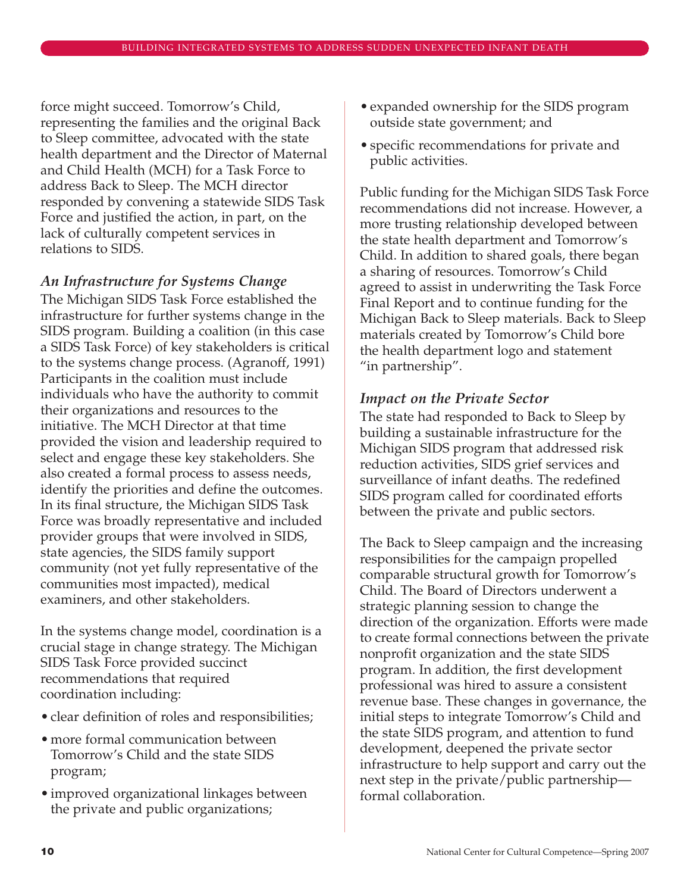force might succeed. Tomorrow's Child, representing the families and the original Back to Sleep committee, advocated with the state health department and the Director of Maternal and Child Health (MCH) for a Task Force to address Back to Sleep. The MCH director responded by convening a statewide SIDS Task Force and justified the action, in part, on the lack of culturally competent services in relations to SIDS.

# *An Infrastructure for Systems Change*

The Michigan SIDS Task Force established the infrastructure for further systems change in the SIDS program. Building a coalition (in this case a SIDS Task Force) of key stakeholders is critical to the systems change process. (Agranoff, 1991) Participants in the coalition must include individuals who have the authority to commit their organizations and resources to the initiative. The MCH Director at that time provided the vision and leadership required to select and engage these key stakeholders. She also created a formal process to assess needs, identify the priorities and define the outcomes. In its final structure, the Michigan SIDS Task Force was broadly representative and included provider groups that were involved in SIDS, state agencies, the SIDS family support community (not yet fully representative of the communities most impacted), medical examiners, and other stakeholders.

In the systems change model, coordination is a crucial stage in change strategy. The Michigan SIDS Task Force provided succinct recommendations that required coordination including:

- clear definition of roles and responsibilities;
- more formal communication between Tomorrow's Child and the state SIDS program;
- improved organizational linkages between the private and public organizations;
- expanded ownership for the SIDS program outside state government; and
- specific recommendations for private and public activities.

Public funding for the Michigan SIDS Task Force recommendations did not increase. However, a more trusting relationship developed between the state health department and Tomorrow's Child. In addition to shared goals, there began a sharing of resources. Tomorrow's Child agreed to assist in underwriting the Task Force Final Report and to continue funding for the Michigan Back to Sleep materials. Back to Sleep materials created by Tomorrow's Child bore the health department logo and statement "in partnership".

### *Impact on the Private Sector*

The state had responded to Back to Sleep by building a sustainable infrastructure for the Michigan SIDS program that addressed risk reduction activities, SIDS grief services and surveillance of infant deaths. The redefined SIDS program called for coordinated efforts between the private and public sectors.

The Back to Sleep campaign and the increasing responsibilities for the campaign propelled comparable structural growth for Tomorrow's Child. The Board of Directors underwent a strategic planning session to change the direction of the organization. Efforts were made to create formal connections between the private nonprofit organization and the state SIDS program. In addition, the first development professional was hired to assure a consistent revenue base. These changes in governance, the initial steps to integrate Tomorrow's Child and the state SIDS program, and attention to fund development, deepened the private sector infrastructure to help support and carry out the next step in the private/public partnership formal collaboration.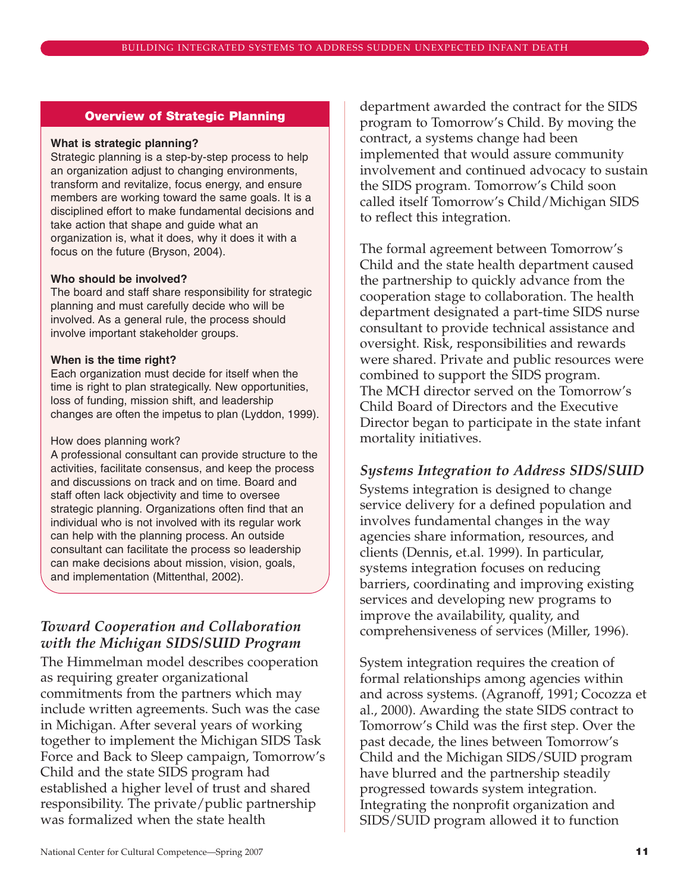#### **Overview of Strategic Planning**

#### **What is strategic planning?**

Strategic planning is a step-by-step process to help an organization adjust to changing environments, transform and revitalize, focus energy, and ensure members are working toward the same goals. It is a disciplined effort to make fundamental decisions and take action that shape and guide what an organization is, what it does, why it does it with a focus on the future (Bryson, 2004).

#### **Who should be involved?**

The board and staff share responsibility for strategic planning and must carefully decide who will be involved. As a general rule, the process should involve important stakeholder groups.

#### **When is the time right?**

Each organization must decide for itself when the time is right to plan strategically. New opportunities, loss of funding, mission shift, and leadership changes are often the impetus to plan (Lyddon, 1999).

#### How does planning work?

A professional consultant can provide structure to the activities, facilitate consensus, and keep the process and discussions on track and on time. Board and staff often lack objectivity and time to oversee strategic planning. Organizations often find that an individual who is not involved with its regular work can help with the planning process. An outside consultant can facilitate the process so leadership can make decisions about mission, vision, goals, and implementation (Mittenthal, 2002).

# *Toward Cooperation and Collaboration with the Michigan SIDS/SUID Program*

The Himmelman model describes cooperation as requiring greater organizational commitments from the partners which may include written agreements. Such was the case in Michigan. After several years of working together to implement the Michigan SIDS Task Force and Back to Sleep campaign, Tomorrow's Child and the state SIDS program had established a higher level of trust and shared responsibility. The private/public partnership was formalized when the state health

department awarded the contract for the SIDS program to Tomorrow's Child. By moving the contract, a systems change had been implemented that would assure community involvement and continued advocacy to sustain the SIDS program. Tomorrow's Child soon called itself Tomorrow's Child/Michigan SIDS to reflect this integration.

The formal agreement between Tomorrow's Child and the state health department caused the partnership to quickly advance from the cooperation stage to collaboration. The health department designated a part-time SIDS nurse consultant to provide technical assistance and oversight. Risk, responsibilities and rewards were shared. Private and public resources were combined to support the SIDS program. The MCH director served on the Tomorrow's Child Board of Directors and the Executive Director began to participate in the state infant mortality initiatives.

### *Systems Integration to Address SIDS/SUID*

Systems integration is designed to change service delivery for a defined population and involves fundamental changes in the way agencies share information, resources, and clients (Dennis, et.al. 1999). In particular, systems integration focuses on reducing barriers, coordinating and improving existing services and developing new programs to improve the availability, quality, and comprehensiveness of services (Miller, 1996).

System integration requires the creation of formal relationships among agencies within and across systems. (Agranoff, 1991; Cocozza et al., 2000). Awarding the state SIDS contract to Tomorrow's Child was the first step. Over the past decade, the lines between Tomorrow's Child and the Michigan SIDS/SUID program have blurred and the partnership steadily progressed towards system integration. Integrating the nonprofit organization and SIDS/SUID program allowed it to function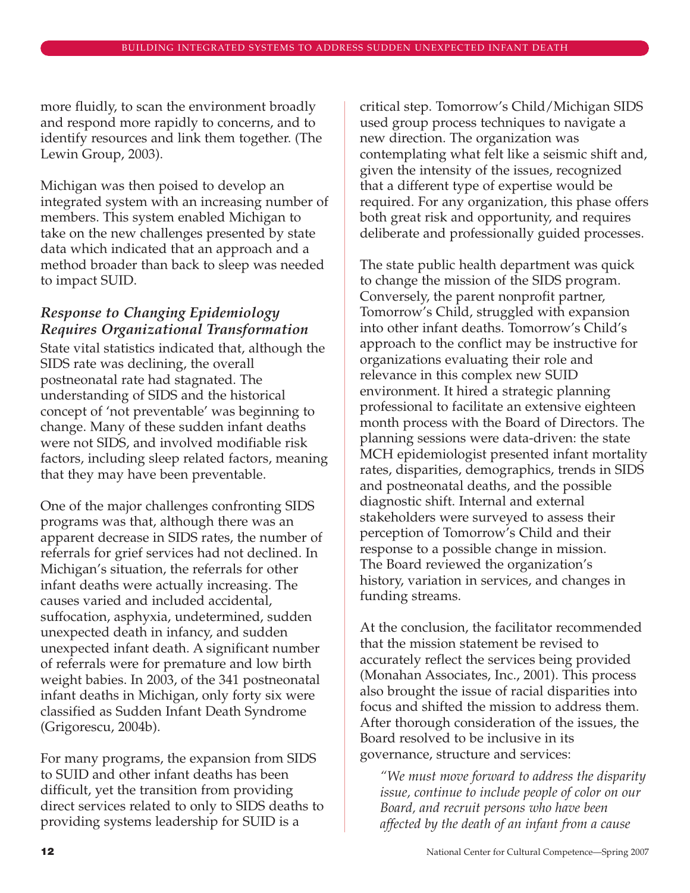more fluidly, to scan the environment broadly and respond more rapidly to concerns, and to identify resources and link them together. (The Lewin Group, 2003).

Michigan was then poised to develop an integrated system with an increasing number of members. This system enabled Michigan to take on the new challenges presented by state data which indicated that an approach and a method broader than back to sleep was needed to impact SUID.

# *Response to Changing Epidemiology Requires Organizational Transformation*

State vital statistics indicated that, although the SIDS rate was declining, the overall postneonatal rate had stagnated. The understanding of SIDS and the historical concept of 'not preventable' was beginning to change. Many of these sudden infant deaths were not SIDS, and involved modifiable risk factors, including sleep related factors, meaning that they may have been preventable.

One of the major challenges confronting SIDS programs was that, although there was an apparent decrease in SIDS rates, the number of referrals for grief services had not declined. In Michigan's situation, the referrals for other infant deaths were actually increasing. The causes varied and included accidental, suffocation, asphyxia, undetermined, sudden unexpected death in infancy, and sudden unexpected infant death. A significant number of referrals were for premature and low birth weight babies. In 2003, of the 341 postneonatal infant deaths in Michigan, only forty six were classified as Sudden Infant Death Syndrome (Grigorescu, 2004b).

For many programs, the expansion from SIDS to SUID and other infant deaths has been difficult, yet the transition from providing direct services related to only to SIDS deaths to providing systems leadership for SUID is a

critical step. Tomorrow's Child/Michigan SIDS used group process techniques to navigate a new direction. The organization was contemplating what felt like a seismic shift and, given the intensity of the issues, recognized that a different type of expertise would be required. For any organization, this phase offers both great risk and opportunity, and requires deliberate and professionally guided processes.

The state public health department was quick to change the mission of the SIDS program. Conversely, the parent nonprofit partner, Tomorrow's Child, struggled with expansion into other infant deaths. Tomorrow's Child's approach to the conflict may be instructive for organizations evaluating their role and relevance in this complex new SUID environment. It hired a strategic planning professional to facilitate an extensive eighteen month process with the Board of Directors. The planning sessions were data-driven: the state MCH epidemiologist presented infant mortality rates, disparities, demographics, trends in SIDS and postneonatal deaths, and the possible diagnostic shift. Internal and external stakeholders were surveyed to assess their perception of Tomorrow's Child and their response to a possible change in mission. The Board reviewed the organization's history, variation in services, and changes in funding streams.

At the conclusion, the facilitator recommended that the mission statement be revised to accurately reflect the services being provided (Monahan Associates, Inc., 2001). This process also brought the issue of racial disparities into focus and shifted the mission to address them. After thorough consideration of the issues, the Board resolved to be inclusive in its governance, structure and services:

*"We must move forward to address the disparity issue, continue to include people of color on our Board, and recruit persons who have been affected by the death of an infant from a cause*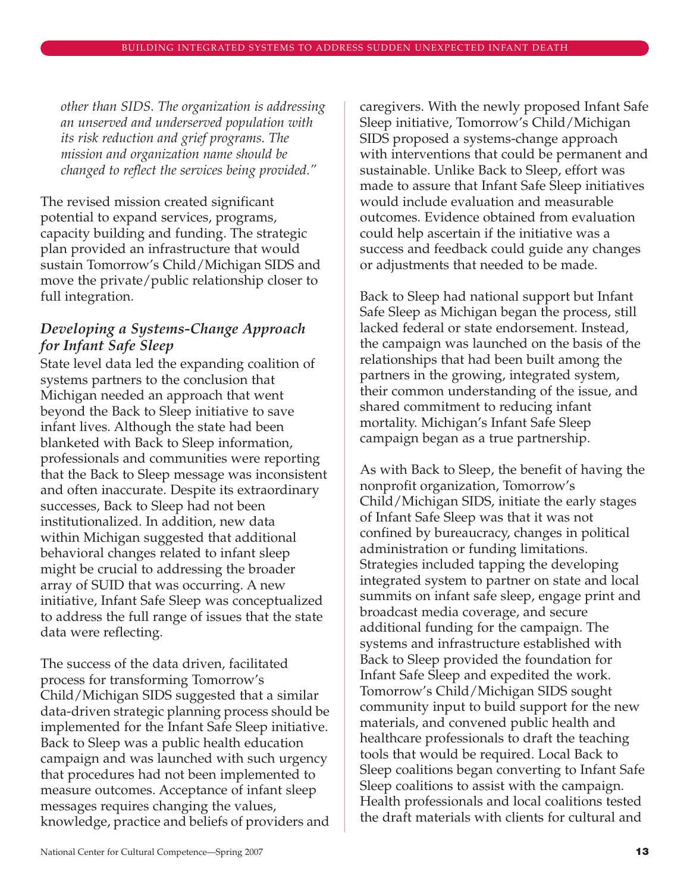*other than SIDS. The organization is addressing an unserved and underserved population with its risk reduction and grief programs. The mission and organization name should be changed to reflect the services being provided."*

The revised mission created significant potential to expand services, programs, capacity building and funding. The strategic plan provided an infrastructure that would sustain Tomorrow's Child/Michigan SIDS and move the private/public relationship closer to full integration.

# *Developing a Systems-Change Approach for Infant Safe Sleep*

State level data led the expanding coalition of systems partners to the conclusion that Michigan needed an approach that went beyond the Back to Sleep initiative to save infant lives. Although the state had been blanketed with Back to Sleep information, professionals and communities were reporting that the Back to Sleep message was inconsistent and often inaccurate. Despite its extraordinary successes, Back to Sleep had not been institutionalized. In addition, new data within Michigan suggested that additional behavioral changes related to infant sleep might be crucial to addressing the broader array of SUID that was occurring. A new initiative, Infant Safe Sleep was conceptualized to address the full range of issues that the state data were reflecting.

The success of the data driven, facilitated process for transforming Tomorrow's Child/Michigan SIDS suggested that a similar data-driven strategic planning process should be implemented for the Infant Safe Sleep initiative. Back to Sleep was a public health education campaign and was launched with such urgency that procedures had not been implemented to measure outcomes. Acceptance of infant sleep messages requires changing the values, knowledge, practice and beliefs of providers and

caregivers. With the newly proposed Infant Safe Sleep initiative, Tomorrow's Child/Michigan SIDS proposed a systems-change approach with interventions that could be permanent and sustainable. Unlike Back to Sleep, effort was made to assure that Infant Safe Sleep initiatives would include evaluation and measurable outcomes. Evidence obtained from evaluation could help ascertain if the initiative was a success and feedback could guide any changes or adjustments that needed to be made.

Back to Sleep had national support but Infant Safe Sleep as Michigan began the process, still lacked federal or state endorsement. Instead, the campaign was launched on the basis of the relationships that had been built among the partners in the growing, integrated system, their common understanding of the issue, and shared commitment to reducing infant mortality. Michigan's Infant Safe Sleep campaign began as a true partnership.

As with Back to Sleep, the benefit of having the nonprofit organization, Tomorrow's Child/Michigan SIDS, initiate the early stages of Infant Safe Sleep was that it was not confined by bureaucracy, changes in political administration or funding limitations. Strategies included tapping the developing integrated system to partner on state and local summits on infant safe sleep, engage print and broadcast media coverage, and secure additional funding for the campaign. The systems and infrastructure established with Back to Sleep provided the foundation for Infant Safe Sleep and expedited the work. Tomorrow's Child/Michigan SIDS sought community input to build support for the new materials, and convened public health and healthcare professionals to draft the teaching tools that would be required. Local Back to Sleep coalitions began converting to Infant Safe Sleep coalitions to assist with the campaign. Health professionals and local coalitions tested the draft materials with clients for cultural and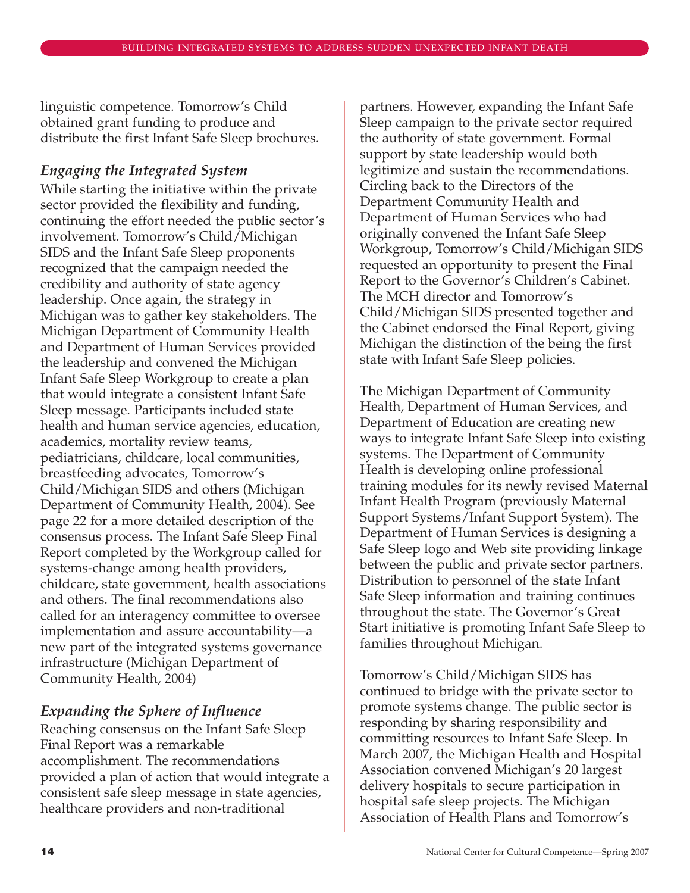linguistic competence. Tomorrow's Child obtained grant funding to produce and distribute the first Infant Safe Sleep brochures.

### *Engaging the Integrated System*

While starting the initiative within the private sector provided the flexibility and funding, continuing the effort needed the public sector's involvement. Tomorrow's Child/Michigan SIDS and the Infant Safe Sleep proponents recognized that the campaign needed the credibility and authority of state agency leadership. Once again, the strategy in Michigan was to gather key stakeholders. The Michigan Department of Community Health and Department of Human Services provided the leadership and convened the Michigan Infant Safe Sleep Workgroup to create a plan that would integrate a consistent Infant Safe Sleep message. Participants included state health and human service agencies, education, academics, mortality review teams, pediatricians, childcare, local communities, breastfeeding advocates, Tomorrow's Child/Michigan SIDS and others (Michigan Department of Community Health, 2004). See page 22 for a more detailed description of the consensus process. The Infant Safe Sleep Final Report completed by the Workgroup called for systems-change among health providers, childcare, state government, health associations and others. The final recommendations also called for an interagency committee to oversee implementation and assure accountability—a new part of the integrated systems governance infrastructure (Michigan Department of Community Health, 2004)

### *Expanding the Sphere of Influence*

Reaching consensus on the Infant Safe Sleep Final Report was a remarkable accomplishment. The recommendations provided a plan of action that would integrate a consistent safe sleep message in state agencies, healthcare providers and non-traditional

partners. However, expanding the Infant Safe Sleep campaign to the private sector required the authority of state government. Formal support by state leadership would both legitimize and sustain the recommendations. Circling back to the Directors of the Department Community Health and Department of Human Services who had originally convened the Infant Safe Sleep Workgroup, Tomorrow's Child/Michigan SIDS requested an opportunity to present the Final Report to the Governor's Children's Cabinet. The MCH director and Tomorrow's Child/Michigan SIDS presented together and the Cabinet endorsed the Final Report, giving Michigan the distinction of the being the first state with Infant Safe Sleep policies.

The Michigan Department of Community Health, Department of Human Services, and Department of Education are creating new ways to integrate Infant Safe Sleep into existing systems. The Department of Community Health is developing online professional training modules for its newly revised Maternal Infant Health Program (previously Maternal Support Systems/Infant Support System). The Department of Human Services is designing a Safe Sleep logo and Web site providing linkage between the public and private sector partners. Distribution to personnel of the state Infant Safe Sleep information and training continues throughout the state. The Governor's Great Start initiative is promoting Infant Safe Sleep to families throughout Michigan.

Tomorrow's Child/Michigan SIDS has continued to bridge with the private sector to promote systems change. The public sector is responding by sharing responsibility and committing resources to Infant Safe Sleep. In March 2007, the Michigan Health and Hospital Association convened Michigan's 20 largest delivery hospitals to secure participation in hospital safe sleep projects. The Michigan Association of Health Plans and Tomorrow's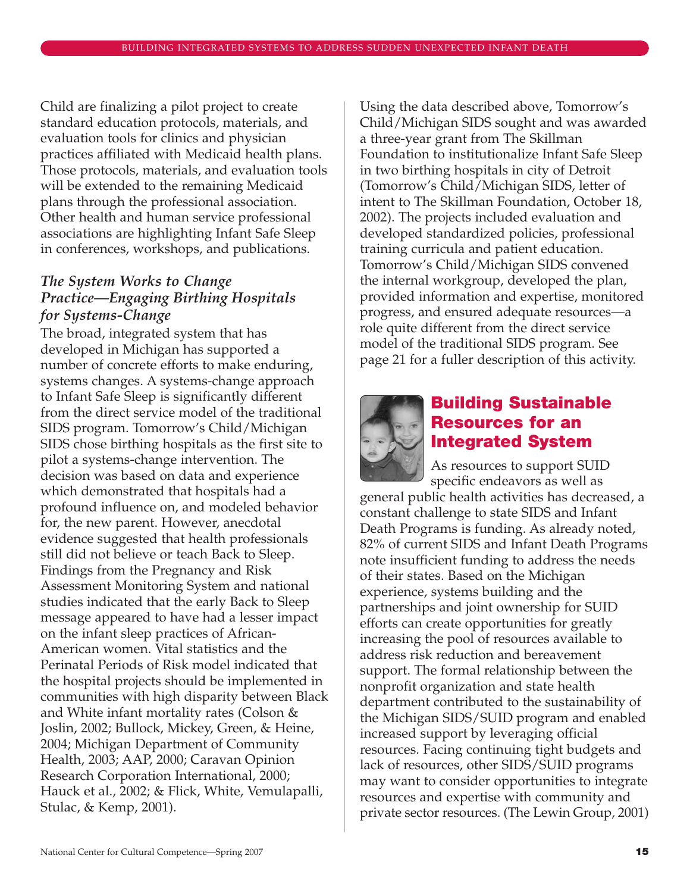Child are finalizing a pilot project to create standard education protocols, materials, and evaluation tools for clinics and physician practices affiliated with Medicaid health plans. Those protocols, materials, and evaluation tools will be extended to the remaining Medicaid plans through the professional association. Other health and human service professional associations are highlighting Infant Safe Sleep in conferences, workshops, and publications.

# *The System Works to Change Practice—Engaging Birthing Hospitals for Systems-Change*

The broad, integrated system that has developed in Michigan has supported a number of concrete efforts to make enduring, systems changes. A systems-change approach to Infant Safe Sleep is significantly different from the direct service model of the traditional SIDS program. Tomorrow's Child/Michigan SIDS chose birthing hospitals as the first site to pilot a systems-change intervention. The decision was based on data and experience which demonstrated that hospitals had a profound influence on, and modeled behavior for, the new parent. However, anecdotal evidence suggested that health professionals still did not believe or teach Back to Sleep. Findings from the Pregnancy and Risk Assessment Monitoring System and national studies indicated that the early Back to Sleep message appeared to have had a lesser impact on the infant sleep practices of African-American women. Vital statistics and the Perinatal Periods of Risk model indicated that the hospital projects should be implemented in communities with high disparity between Black and White infant mortality rates (Colson & Joslin, 2002; Bullock, Mickey, Green, & Heine, 2004; Michigan Department of Community Health, 2003; AAP, 2000; Caravan Opinion Research Corporation International, 2000; Hauck et al., 2002; & Flick, White, Vemulapalli, Stulac, & Kemp, 2001).

Using the data described above, Tomorrow's Child/Michigan SIDS sought and was awarded a three-year grant from The Skillman Foundation to institutionalize Infant Safe Sleep in two birthing hospitals in city of Detroit (Tomorrow's Child/Michigan SIDS, letter of intent to The Skillman Foundation, October 18, 2002). The projects included evaluation and developed standardized policies, professional training curricula and patient education. Tomorrow's Child/Michigan SIDS convened the internal workgroup, developed the plan, provided information and expertise, monitored progress, and ensured adequate resources—a role quite different from the direct service model of the traditional SIDS program. See page 21 for a fuller description of this activity.



# **Building Sustainable Resources for an Integrated System**

As resources to support SUID specific endeavors as well as

general public health activities has decreased, a constant challenge to state SIDS and Infant Death Programs is funding. As already noted, 82% of current SIDS and Infant Death Programs note insufficient funding to address the needs of their states. Based on the Michigan experience, systems building and the partnerships and joint ownership for SUID efforts can create opportunities for greatly increasing the pool of resources available to address risk reduction and bereavement support. The formal relationship between the nonprofit organization and state health department contributed to the sustainability of the Michigan SIDS/SUID program and enabled increased support by leveraging official resources. Facing continuing tight budgets and lack of resources, other SIDS/SUID programs may want to consider opportunities to integrate resources and expertise with community and private sector resources. (The Lewin Group, 2001)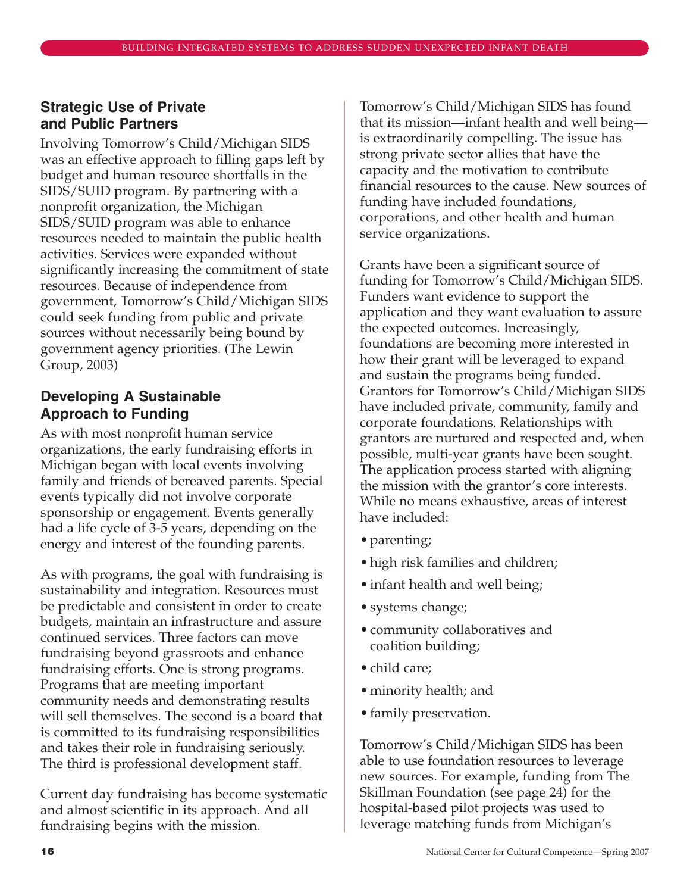### **Strategic Use of Private and Public Partners**

Involving Tomorrow's Child/Michigan SIDS was an effective approach to filling gaps left by budget and human resource shortfalls in the SIDS/SUID program. By partnering with a nonprofit organization, the Michigan SIDS/SUID program was able to enhance resources needed to maintain the public health activities. Services were expanded without significantly increasing the commitment of state resources. Because of independence from government, Tomorrow's Child/Michigan SIDS could seek funding from public and private sources without necessarily being bound by government agency priorities. (The Lewin Group, 2003)

# **Developing A Sustainable Approach to Funding**

As with most nonprofit human service organizations, the early fundraising efforts in Michigan began with local events involving family and friends of bereaved parents. Special events typically did not involve corporate sponsorship or engagement. Events generally had a life cycle of 3-5 years, depending on the energy and interest of the founding parents.

As with programs, the goal with fundraising is sustainability and integration. Resources must be predictable and consistent in order to create budgets, maintain an infrastructure and assure continued services. Three factors can move fundraising beyond grassroots and enhance fundraising efforts. One is strong programs. Programs that are meeting important community needs and demonstrating results will sell themselves. The second is a board that is committed to its fundraising responsibilities and takes their role in fundraising seriously. The third is professional development staff.

Current day fundraising has become systematic and almost scientific in its approach. And all fundraising begins with the mission.

Tomorrow's Child/Michigan SIDS has found that its mission—infant health and well being is extraordinarily compelling. The issue has strong private sector allies that have the capacity and the motivation to contribute financial resources to the cause. New sources of funding have included foundations, corporations, and other health and human service organizations.

Grants have been a significant source of funding for Tomorrow's Child/Michigan SIDS. Funders want evidence to support the application and they want evaluation to assure the expected outcomes. Increasingly, foundations are becoming more interested in how their grant will be leveraged to expand and sustain the programs being funded. Grantors for Tomorrow's Child/Michigan SIDS have included private, community, family and corporate foundations. Relationships with grantors are nurtured and respected and, when possible, multi-year grants have been sought. The application process started with aligning the mission with the grantor's core interests. While no means exhaustive, areas of interest have included:

- parenting;
- high risk families and children;
- infant health and well being;
- systems change;
- community collaboratives and coalition building;
- child care;
- minority health; and
- family preservation.

Tomorrow's Child/Michigan SIDS has been able to use foundation resources to leverage new sources. For example, funding from The Skillman Foundation (see page 24) for the hospital-based pilot projects was used to leverage matching funds from Michigan's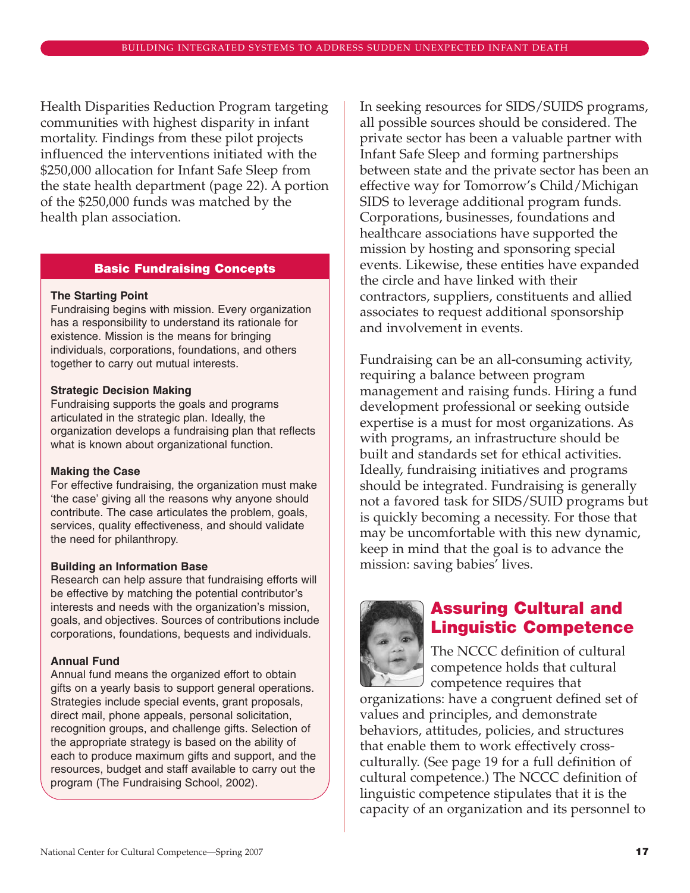Health Disparities Reduction Program targeting communities with highest disparity in infant mortality. Findings from these pilot projects influenced the interventions initiated with the \$250,000 allocation for Infant Safe Sleep from the state health department (page 22). A portion of the \$250,000 funds was matched by the health plan association.

#### **Basic Fundraising Concepts**

#### **The Starting Point**

Fundraising begins with mission. Every organization has a responsibility to understand its rationale for existence. Mission is the means for bringing individuals, corporations, foundations, and others together to carry out mutual interests.

#### **Strategic Decision Making**

Fundraising supports the goals and programs articulated in the strategic plan. Ideally, the organization develops a fundraising plan that reflects what is known about organizational function.

#### **Making the Case**

For effective fundraising, the organization must make 'the case' giving all the reasons why anyone should contribute. The case articulates the problem, goals, services, quality effectiveness, and should validate the need for philanthropy.

#### **Building an Information Base**

Research can help assure that fundraising efforts will be effective by matching the potential contributor's interests and needs with the organization's mission, goals, and objectives. Sources of contributions include corporations, foundations, bequests and individuals.

#### **Annual Fund**

Annual fund means the organized effort to obtain gifts on a yearly basis to support general operations. Strategies include special events, grant proposals, direct mail, phone appeals, personal solicitation, recognition groups, and challenge gifts. Selection of the appropriate strategy is based on the ability of each to produce maximum gifts and support, and the resources, budget and staff available to carry out the program (The Fundraising School, 2002).

In seeking resources for SIDS/SUIDS programs, all possible sources should be considered. The private sector has been a valuable partner with Infant Safe Sleep and forming partnerships between state and the private sector has been an effective way for Tomorrow's Child/Michigan SIDS to leverage additional program funds. Corporations, businesses, foundations and healthcare associations have supported the mission by hosting and sponsoring special events. Likewise, these entities have expanded the circle and have linked with their contractors, suppliers, constituents and allied associates to request additional sponsorship and involvement in events.

Fundraising can be an all-consuming activity, requiring a balance between program management and raising funds. Hiring a fund development professional or seeking outside expertise is a must for most organizations. As with programs, an infrastructure should be built and standards set for ethical activities. Ideally, fundraising initiatives and programs should be integrated. Fundraising is generally not a favored task for SIDS/SUID programs but is quickly becoming a necessity. For those that may be uncomfortable with this new dynamic, keep in mind that the goal is to advance the mission: saving babies' lives.



# **Assuring Cultural and Linguistic Competence**

The NCCC definition of cultural competence holds that cultural competence requires that

organizations: have a congruent defined set of values and principles, and demonstrate behaviors, attitudes, policies, and structures that enable them to work effectively crossculturally. (See page 19 for a full definition of cultural competence.) The NCCC definition of linguistic competence stipulates that it is the capacity of an organization and its personnel to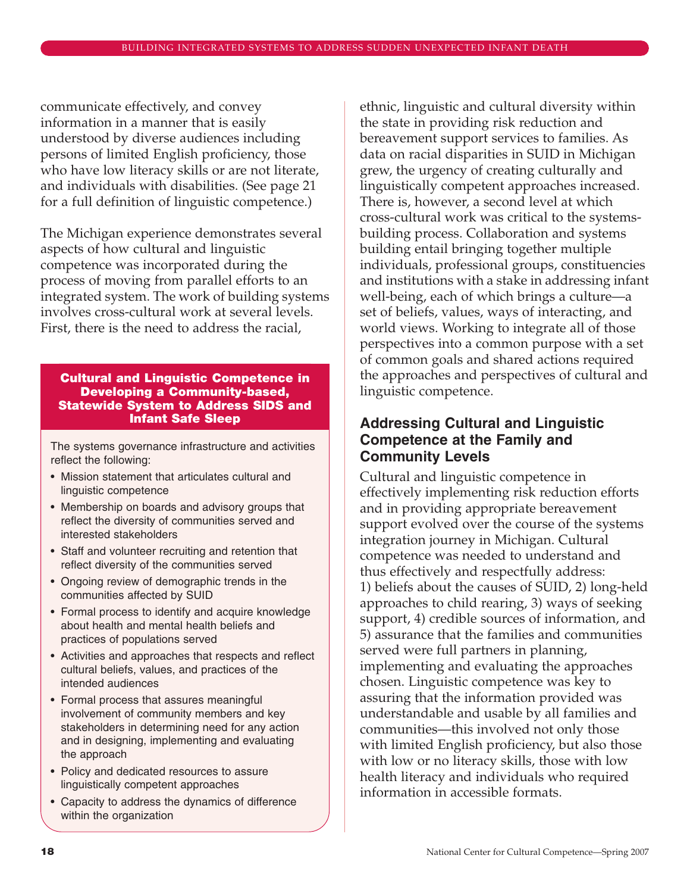communicate effectively, and convey information in a manner that is easily understood by diverse audiences including persons of limited English proficiency, those who have low literacy skills or are not literate, and individuals with disabilities. (See page 21 for a full definition of linguistic competence.)

The Michigan experience demonstrates several aspects of how cultural and linguistic competence was incorporated during the process of moving from parallel efforts to an integrated system. The work of building systems involves cross-cultural work at several levels. First, there is the need to address the racial,

#### **Cultural and Linguistic Competence in Developing a Community-based, Statewide System to Address SIDS and Infant Safe Sleep**

The systems governance infrastructure and activities reflect the following:

- Mission statement that articulates cultural and linguistic competence
- Membership on boards and advisory groups that reflect the diversity of communities served and interested stakeholders
- Staff and volunteer recruiting and retention that reflect diversity of the communities served
- Ongoing review of demographic trends in the communities affected by SUID
- Formal process to identify and acquire knowledge about health and mental health beliefs and practices of populations served
- Activities and approaches that respects and reflect cultural beliefs, values, and practices of the intended audiences
- Formal process that assures meaningful involvement of community members and key stakeholders in determining need for any action and in designing, implementing and evaluating the approach
- Policy and dedicated resources to assure linguistically competent approaches
- Capacity to address the dynamics of difference within the organization

ethnic, linguistic and cultural diversity within the state in providing risk reduction and bereavement support services to families. As data on racial disparities in SUID in Michigan grew, the urgency of creating culturally and linguistically competent approaches increased. There is, however, a second level at which cross-cultural work was critical to the systemsbuilding process. Collaboration and systems building entail bringing together multiple individuals, professional groups, constituencies and institutions with a stake in addressing infant well-being, each of which brings a culture—a set of beliefs, values, ways of interacting, and world views. Working to integrate all of those perspectives into a common purpose with a set of common goals and shared actions required the approaches and perspectives of cultural and linguistic competence.

# **Addressing Cultural and Linguistic Competence at the Family and Community Levels**

Cultural and linguistic competence in effectively implementing risk reduction efforts and in providing appropriate bereavement support evolved over the course of the systems integration journey in Michigan. Cultural competence was needed to understand and thus effectively and respectfully address: 1) beliefs about the causes of SUID, 2) long-held approaches to child rearing, 3) ways of seeking support, 4) credible sources of information, and 5) assurance that the families and communities served were full partners in planning, implementing and evaluating the approaches chosen. Linguistic competence was key to assuring that the information provided was understandable and usable by all families and communities—this involved not only those with limited English proficiency, but also those with low or no literacy skills, those with low health literacy and individuals who required information in accessible formats.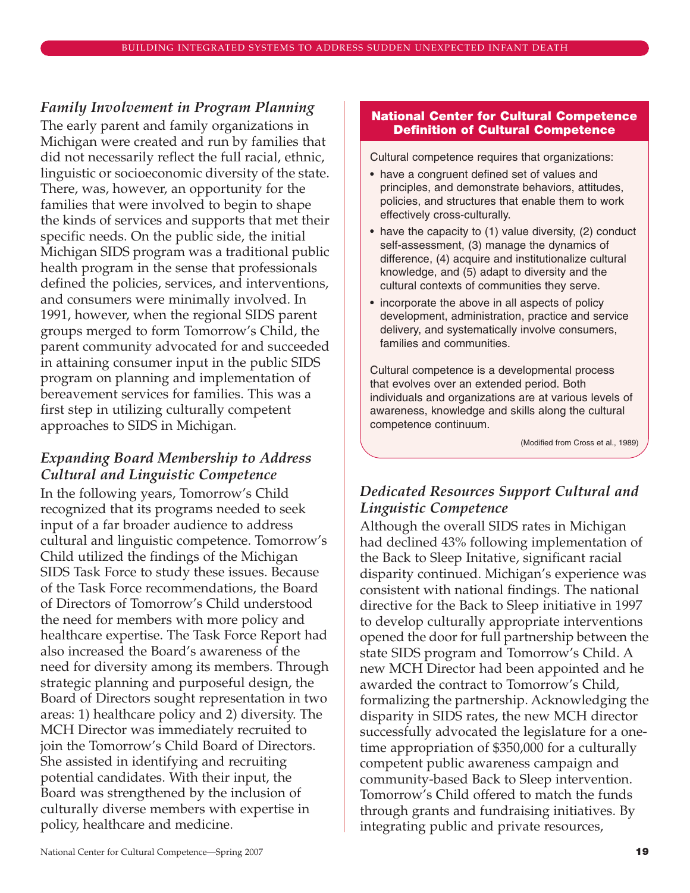### *Family Involvement in Program Planning*

The early parent and family organizations in Michigan were created and run by families that did not necessarily reflect the full racial, ethnic, linguistic or socioeconomic diversity of the state. There, was, however, an opportunity for the families that were involved to begin to shape the kinds of services and supports that met their specific needs. On the public side, the initial Michigan SIDS program was a traditional public health program in the sense that professionals defined the policies, services, and interventions, and consumers were minimally involved. In 1991, however, when the regional SIDS parent groups merged to form Tomorrow's Child, the parent community advocated for and succeeded in attaining consumer input in the public SIDS program on planning and implementation of bereavement services for families. This was a first step in utilizing culturally competent approaches to SIDS in Michigan.

# *Expanding Board Membership to Address Cultural and Linguistic Competence*

In the following years, Tomorrow's Child recognized that its programs needed to seek input of a far broader audience to address cultural and linguistic competence. Tomorrow's Child utilized the findings of the Michigan SIDS Task Force to study these issues. Because of the Task Force recommendations, the Board of Directors of Tomorrow's Child understood the need for members with more policy and healthcare expertise. The Task Force Report had also increased the Board's awareness of the need for diversity among its members. Through strategic planning and purposeful design, the Board of Directors sought representation in two areas: 1) healthcare policy and 2) diversity. The MCH Director was immediately recruited to join the Tomorrow's Child Board of Directors. She assisted in identifying and recruiting potential candidates. With their input, the Board was strengthened by the inclusion of culturally diverse members with expertise in policy, healthcare and medicine.

#### **National Center for Cultural Competence Definition of Cultural Competence**

Cultural competence requires that organizations:

- have a congruent defined set of values and principles, and demonstrate behaviors, attitudes, policies, and structures that enable them to work effectively cross-culturally.
- have the capacity to (1) value diversity, (2) conduct self-assessment, (3) manage the dynamics of difference, (4) acquire and institutionalize cultural knowledge, and (5) adapt to diversity and the cultural contexts of communities they serve.
- incorporate the above in all aspects of policy development, administration, practice and service delivery, and systematically involve consumers, families and communities.

Cultural competence is a developmental process that evolves over an extended period. Both individuals and organizations are at various levels of awareness, knowledge and skills along the cultural competence continuum.

(Modified from Cross et al., 1989)

# *Dedicated Resources Support Cultural and Linguistic Competence*

Although the overall SIDS rates in Michigan had declined 43% following implementation of the Back to Sleep Initative, significant racial disparity continued. Michigan's experience was consistent with national findings. The national directive for the Back to Sleep initiative in 1997 to develop culturally appropriate interventions opened the door for full partnership between the state SIDS program and Tomorrow's Child. A new MCH Director had been appointed and he awarded the contract to Tomorrow's Child, formalizing the partnership. Acknowledging the disparity in SIDS rates, the new MCH director successfully advocated the legislature for a onetime appropriation of \$350,000 for a culturally competent public awareness campaign and community-based Back to Sleep intervention. Tomorrow's Child offered to match the funds through grants and fundraising initiatives. By integrating public and private resources,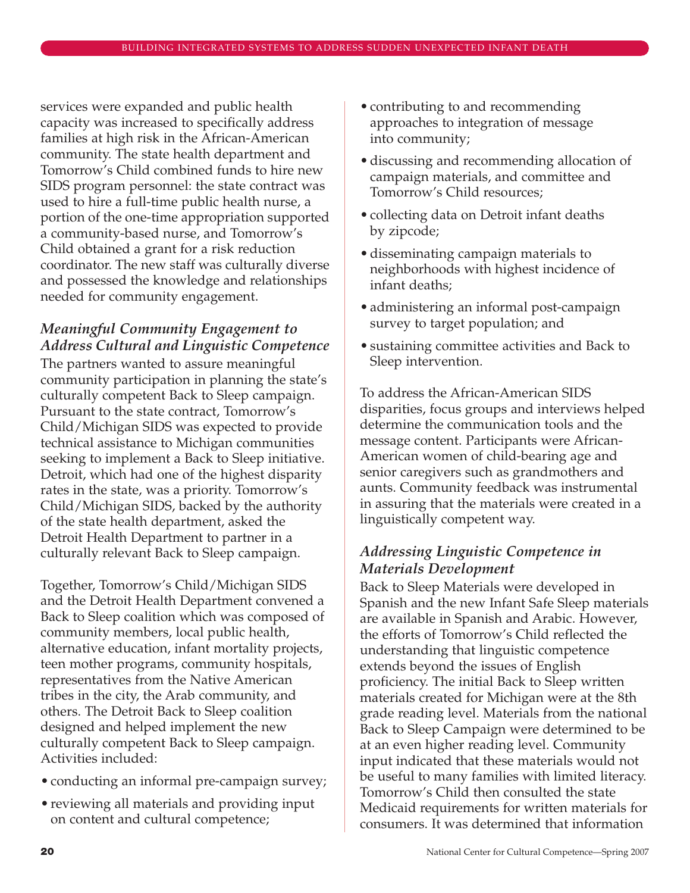services were expanded and public health capacity was increased to specifically address families at high risk in the African-American community. The state health department and Tomorrow's Child combined funds to hire new SIDS program personnel: the state contract was used to hire a full-time public health nurse, a portion of the one-time appropriation supported a community-based nurse, and Tomorrow's Child obtained a grant for a risk reduction coordinator. The new staff was culturally diverse and possessed the knowledge and relationships needed for community engagement.

# *Meaningful Community Engagement to Address Cultural and Linguistic Competence*

The partners wanted to assure meaningful community participation in planning the state's culturally competent Back to Sleep campaign. Pursuant to the state contract, Tomorrow's Child/Michigan SIDS was expected to provide technical assistance to Michigan communities seeking to implement a Back to Sleep initiative. Detroit, which had one of the highest disparity rates in the state, was a priority. Tomorrow's Child/Michigan SIDS, backed by the authority of the state health department, asked the Detroit Health Department to partner in a culturally relevant Back to Sleep campaign.

Together, Tomorrow's Child/Michigan SIDS and the Detroit Health Department convened a Back to Sleep coalition which was composed of community members, local public health, alternative education, infant mortality projects, teen mother programs, community hospitals, representatives from the Native American tribes in the city, the Arab community, and others. The Detroit Back to Sleep coalition designed and helped implement the new culturally competent Back to Sleep campaign. Activities included:

- conducting an informal pre-campaign survey;
- reviewing all materials and providing input on content and cultural competence;
- contributing to and recommending approaches to integration of message into community;
- discussing and recommending allocation of campaign materials, and committee and Tomorrow's Child resources;
- collecting data on Detroit infant deaths by zipcode;
- disseminating campaign materials to neighborhoods with highest incidence of infant deaths;
- administering an informal post-campaign survey to target population; and
- sustaining committee activities and Back to Sleep intervention.

To address the African-American SIDS disparities, focus groups and interviews helped determine the communication tools and the message content. Participants were African-American women of child-bearing age and senior caregivers such as grandmothers and aunts. Community feedback was instrumental in assuring that the materials were created in a linguistically competent way.

# *Addressing Linguistic Competence in Materials Development*

Back to Sleep Materials were developed in Spanish and the new Infant Safe Sleep materials are available in Spanish and Arabic. However, the efforts of Tomorrow's Child reflected the understanding that linguistic competence extends beyond the issues of English proficiency. The initial Back to Sleep written materials created for Michigan were at the 8th grade reading level. Materials from the national Back to Sleep Campaign were determined to be at an even higher reading level. Community input indicated that these materials would not be useful to many families with limited literacy. Tomorrow's Child then consulted the state Medicaid requirements for written materials for consumers. It was determined that information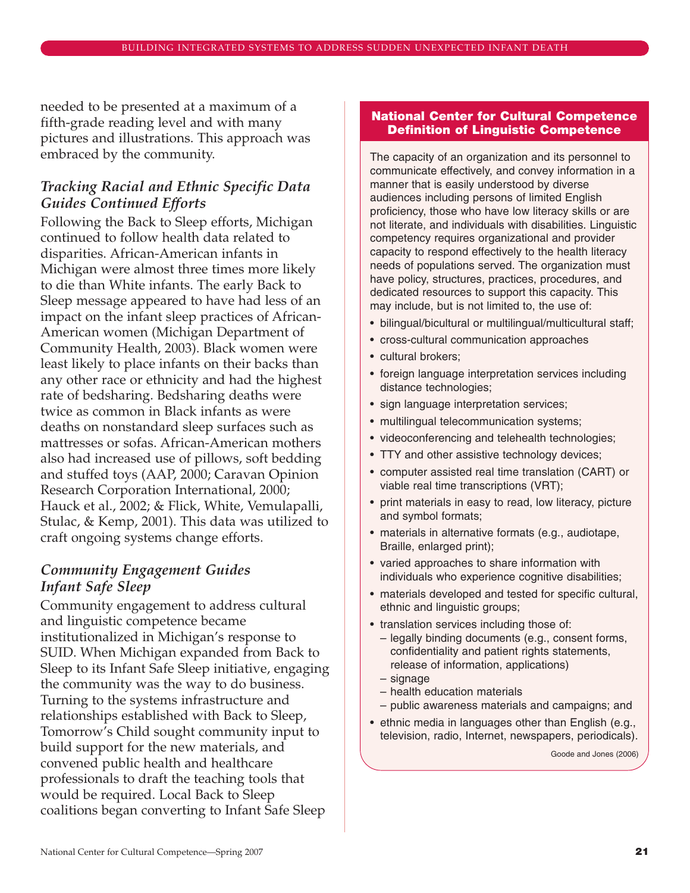needed to be presented at a maximum of a fifth-grade reading level and with many pictures and illustrations. This approach was embraced by the community.

### *Tracking Racial and Ethnic Specific Data Guides Continued Efforts*

Following the Back to Sleep efforts, Michigan continued to follow health data related to disparities. African-American infants in Michigan were almost three times more likely to die than White infants. The early Back to Sleep message appeared to have had less of an impact on the infant sleep practices of African-American women (Michigan Department of Community Health, 2003). Black women were least likely to place infants on their backs than any other race or ethnicity and had the highest rate of bedsharing. Bedsharing deaths were twice as common in Black infants as were deaths on nonstandard sleep surfaces such as mattresses or sofas. African-American mothers also had increased use of pillows, soft bedding and stuffed toys (AAP, 2000; Caravan Opinion Research Corporation International, 2000; Hauck et al., 2002; & Flick, White, Vemulapalli, Stulac, & Kemp, 2001). This data was utilized to craft ongoing systems change efforts.

### *Community Engagement Guides Infant Safe Sleep*

Community engagement to address cultural and linguistic competence became institutionalized in Michigan's response to SUID. When Michigan expanded from Back to Sleep to its Infant Safe Sleep initiative, engaging the community was the way to do business. Turning to the systems infrastructure and relationships established with Back to Sleep, Tomorrow's Child sought community input to build support for the new materials, and convened public health and healthcare professionals to draft the teaching tools that would be required. Local Back to Sleep coalitions began converting to Infant Safe Sleep

#### **National Center for Cultural Competence Definition of Linguistic Competence**

The capacity of an organization and its personnel to communicate effectively, and convey information in a manner that is easily understood by diverse audiences including persons of limited English proficiency, those who have low literacy skills or are not literate, and individuals with disabilities. Linguistic competency requires organizational and provider capacity to respond effectively to the health literacy needs of populations served. The organization must have policy, structures, practices, procedures, and dedicated resources to support this capacity. This may include, but is not limited to, the use of:

- bilingual/bicultural or multilingual/multicultural staff;
- cross-cultural communication approaches
- cultural brokers;
- foreign language interpretation services including distance technologies;
- sign language interpretation services;
- multilingual telecommunication systems;
- videoconferencing and telehealth technologies;
- TTY and other assistive technology devices;
- computer assisted real time translation (CART) or viable real time transcriptions (VRT);
- print materials in easy to read, low literacy, picture and symbol formats;
- materials in alternative formats (e.g., audiotape, Braille, enlarged print);
- varied approaches to share information with individuals who experience cognitive disabilities;
- materials developed and tested for specific cultural, ethnic and linguistic groups;
- translation services including those of:
	- legally binding documents (e.g., consent forms, confidentiality and patient rights statements, release of information, applications)
	- signage
	- health education materials
- public awareness materials and campaigns; and
- ethnic media in languages other than English (e.g., television, radio, Internet, newspapers, periodicals).

Goode and Jones (2006)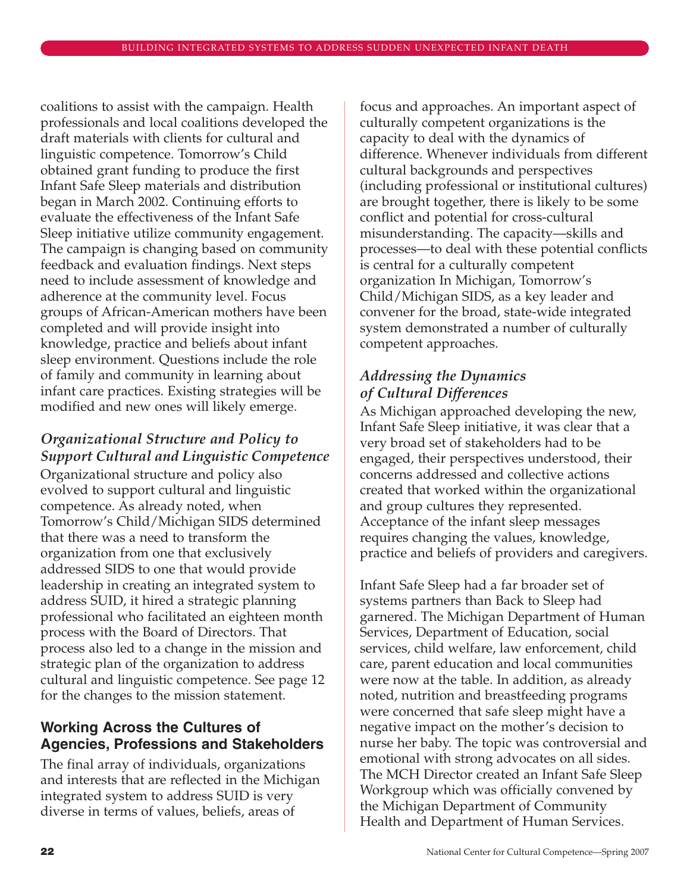coalitions to assist with the campaign. Health professionals and local coalitions developed the draft materials with clients for cultural and linguistic competence. Tomorrow's Child obtained grant funding to produce the first Infant Safe Sleep materials and distribution began in March 2002. Continuing efforts to evaluate the effectiveness of the Infant Safe Sleep initiative utilize community engagement. The campaign is changing based on community feedback and evaluation findings. Next steps need to include assessment of knowledge and adherence at the community level. Focus groups of African-American mothers have been completed and will provide insight into knowledge, practice and beliefs about infant sleep environment. Questions include the role of family and community in learning about infant care practices. Existing strategies will be modified and new ones will likely emerge.

# *Organizational Structure and Policy to Support Cultural and Linguistic Competence*

Organizational structure and policy also evolved to support cultural and linguistic competence. As already noted, when Tomorrow's Child/Michigan SIDS determined that there was a need to transform the organization from one that exclusively addressed SIDS to one that would provide leadership in creating an integrated system to address SUID, it hired a strategic planning professional who facilitated an eighteen month process with the Board of Directors. That process also led to a change in the mission and strategic plan of the organization to address cultural and linguistic competence. See page 12 for the changes to the mission statement.

# **Working Across the Cultures of Agencies, Professions and Stakeholders**

The final array of individuals, organizations and interests that are reflected in the Michigan integrated system to address SUID is very diverse in terms of values, beliefs, areas of

focus and approaches. An important aspect of culturally competent organizations is the capacity to deal with the dynamics of difference. Whenever individuals from different cultural backgrounds and perspectives (including professional or institutional cultures) are brought together, there is likely to be some conflict and potential for cross-cultural misunderstanding. The capacity—skills and processes—to deal with these potential conflicts is central for a culturally competent organization In Michigan, Tomorrow's Child/Michigan SIDS, as a key leader and convener for the broad, state-wide integrated system demonstrated a number of culturally competent approaches.

# *Addressing the Dynamics of Cultural Differences*

As Michigan approached developing the new, Infant Safe Sleep initiative, it was clear that a very broad set of stakeholders had to be engaged, their perspectives understood, their concerns addressed and collective actions created that worked within the organizational and group cultures they represented. Acceptance of the infant sleep messages requires changing the values, knowledge, practice and beliefs of providers and caregivers.

Infant Safe Sleep had a far broader set of systems partners than Back to Sleep had garnered. The Michigan Department of Human Services, Department of Education, social services, child welfare, law enforcement, child care, parent education and local communities were now at the table. In addition, as already noted, nutrition and breastfeeding programs were concerned that safe sleep might have a negative impact on the mother's decision to nurse her baby. The topic was controversial and emotional with strong advocates on all sides. The MCH Director created an Infant Safe Sleep Workgroup which was officially convened by the Michigan Department of Community Health and Department of Human Services.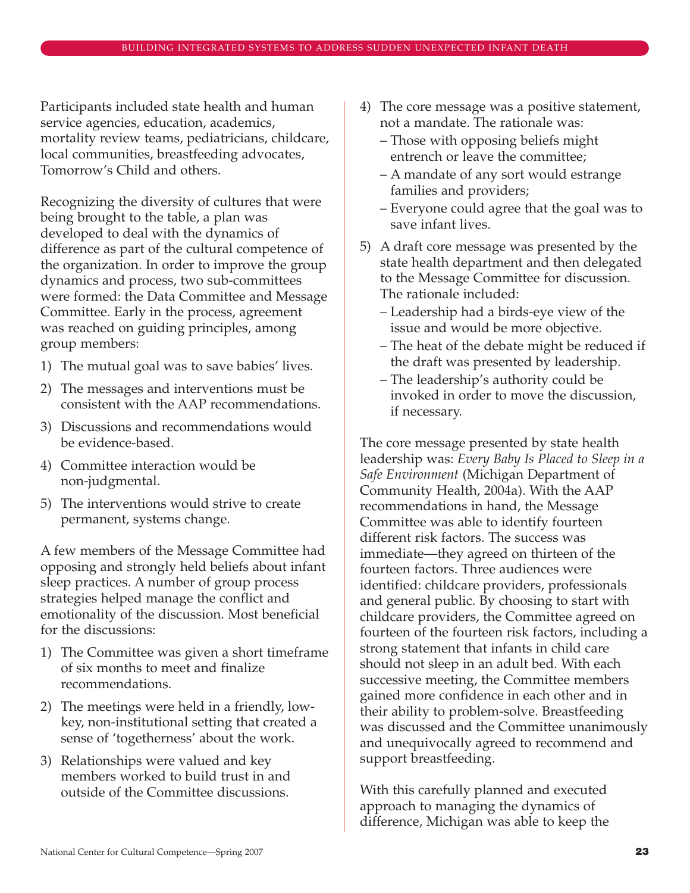Participants included state health and human service agencies, education, academics, mortality review teams, pediatricians, childcare, local communities, breastfeeding advocates, Tomorrow's Child and others.

Recognizing the diversity of cultures that were being brought to the table, a plan was developed to deal with the dynamics of difference as part of the cultural competence of the organization. In order to improve the group dynamics and process, two sub-committees were formed: the Data Committee and Message Committee. Early in the process, agreement was reached on guiding principles, among group members:

- 1) The mutual goal was to save babies' lives.
- 2) The messages and interventions must be consistent with the AAP recommendations.
- 3) Discussions and recommendations would be evidence-based.
- 4) Committee interaction would be non-judgmental.
- 5) The interventions would strive to create permanent, systems change.

A few members of the Message Committee had opposing and strongly held beliefs about infant sleep practices. A number of group process strategies helped manage the conflict and emotionality of the discussion. Most beneficial for the discussions:

- 1) The Committee was given a short timeframe of six months to meet and finalize recommendations.
- 2) The meetings were held in a friendly, lowkey, non-institutional setting that created a sense of 'togetherness' about the work.
- 3) Relationships were valued and key members worked to build trust in and outside of the Committee discussions.
- 4) The core message was a positive statement, not a mandate. The rationale was:
	- Those with opposing beliefs might entrench or leave the committee;
	- A mandate of any sort would estrange families and providers;
	- Everyone could agree that the goal was to save infant lives.
- 5) A draft core message was presented by the state health department and then delegated to the Message Committee for discussion. The rationale included:
	- Leadership had a birds-eye view of the issue and would be more objective.
	- The heat of the debate might be reduced if the draft was presented by leadership.
	- The leadership's authority could be invoked in order to move the discussion, if necessary.

The core message presented by state health leadership was: *Every Baby Is Placed to Sleep in a Safe Environment* (Michigan Department of Community Health, 2004a). With the AAP recommendations in hand, the Message Committee was able to identify fourteen different risk factors. The success was immediate—they agreed on thirteen of the fourteen factors. Three audiences were identified: childcare providers, professionals and general public. By choosing to start with childcare providers, the Committee agreed on fourteen of the fourteen risk factors, including a strong statement that infants in child care should not sleep in an adult bed. With each successive meeting, the Committee members gained more confidence in each other and in their ability to problem-solve. Breastfeeding was discussed and the Committee unanimously and unequivocally agreed to recommend and support breastfeeding.

With this carefully planned and executed approach to managing the dynamics of difference, Michigan was able to keep the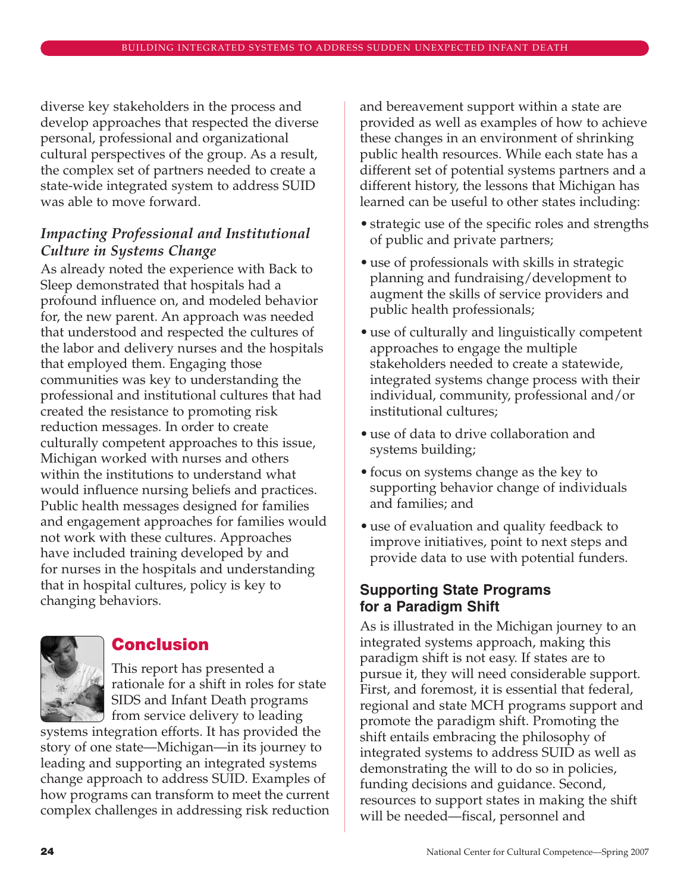diverse key stakeholders in the process and develop approaches that respected the diverse personal, professional and organizational cultural perspectives of the group. As a result, the complex set of partners needed to create a state-wide integrated system to address SUID was able to move forward.

# *Impacting Professional and Institutional Culture in Systems Change*

As already noted the experience with Back to Sleep demonstrated that hospitals had a profound influence on, and modeled behavior for, the new parent. An approach was needed that understood and respected the cultures of the labor and delivery nurses and the hospitals that employed them. Engaging those communities was key to understanding the professional and institutional cultures that had created the resistance to promoting risk reduction messages. In order to create culturally competent approaches to this issue, Michigan worked with nurses and others within the institutions to understand what would influence nursing beliefs and practices. Public health messages designed for families and engagement approaches for families would not work with these cultures. Approaches have included training developed by and for nurses in the hospitals and understanding that in hospital cultures, policy is key to changing behaviors.



# **Conclusion**

This report has presented a rationale for a shift in roles for state SIDS and Infant Death programs  $\bigcup$  from service delivery to leading

systems integration efforts. It has provided the story of one state—Michigan—in its journey to leading and supporting an integrated systems change approach to address SUID. Examples of how programs can transform to meet the current complex challenges in addressing risk reduction

and bereavement support within a state are provided as well as examples of how to achieve these changes in an environment of shrinking public health resources. While each state has a different set of potential systems partners and a different history, the lessons that Michigan has learned can be useful to other states including:

- strategic use of the specific roles and strengths of public and private partners;
- use of professionals with skills in strategic planning and fundraising/development to augment the skills of service providers and public health professionals;
- use of culturally and linguistically competent approaches to engage the multiple stakeholders needed to create a statewide, integrated systems change process with their individual, community, professional and/or institutional cultures;
- use of data to drive collaboration and systems building;
- focus on systems change as the key to supporting behavior change of individuals and families; and
- use of evaluation and quality feedback to improve initiatives, point to next steps and provide data to use with potential funders.

# **Supporting State Programs for a Paradigm Shift**

As is illustrated in the Michigan journey to an integrated systems approach, making this paradigm shift is not easy. If states are to pursue it, they will need considerable support. First, and foremost, it is essential that federal, regional and state MCH programs support and promote the paradigm shift. Promoting the shift entails embracing the philosophy of integrated systems to address SUID as well as demonstrating the will to do so in policies, funding decisions and guidance. Second, resources to support states in making the shift will be needed—fiscal, personnel and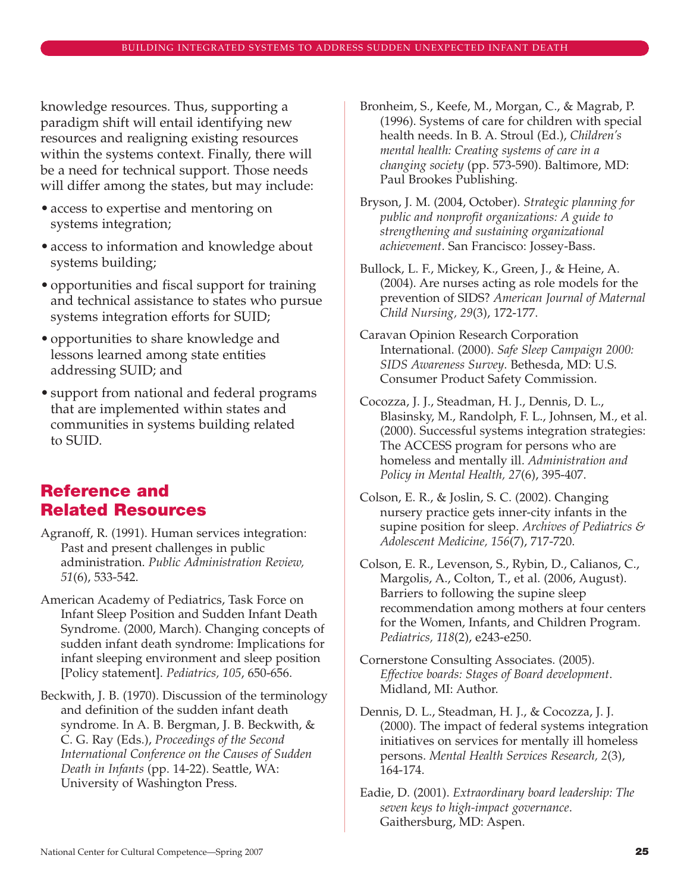knowledge resources. Thus, supporting a paradigm shift will entail identifying new resources and realigning existing resources within the systems context. Finally, there will be a need for technical support. Those needs will differ among the states, but may include:

- access to expertise and mentoring on systems integration;
- access to information and knowledge about systems building;
- opportunities and fiscal support for training and technical assistance to states who pursue systems integration efforts for SUID;
- opportunities to share knowledge and lessons learned among state entities addressing SUID; and
- support from national and federal programs that are implemented within states and communities in systems building related to SUID.

# **Reference and Related Resources**

- Agranoff, R. (1991). Human services integration: Past and present challenges in public administration. *Public Administration Review, 51*(6), 533-542.
- American Academy of Pediatrics, Task Force on Infant Sleep Position and Sudden Infant Death Syndrome. (2000, March). Changing concepts of sudden infant death syndrome: Implications for infant sleeping environment and sleep position [Policy statement]. *Pediatrics, 105*, 650-656.

Beckwith, J. B. (1970). Discussion of the terminology and definition of the sudden infant death syndrome. In A. B. Bergman, J. B. Beckwith, & C. G. Ray (Eds.), *Proceedings of the Second International Conference on the Causes of Sudden Death in Infants* (pp. 14-22). Seattle, WA: University of Washington Press.

- Bronheim, S., Keefe, M., Morgan, C., & Magrab, P. (1996). Systems of care for children with special health needs. In B. A. Stroul (Ed.), *Children's mental health: Creating systems of care in a changing society* (pp. 573-590). Baltimore, MD: Paul Brookes Publishing.
- Bryson, J. M. (2004, October). *Strategic planning for public and nonprofit organizations: A guide to strengthening and sustaining organizational achievement*. San Francisco: Jossey-Bass.
- Bullock, L. F., Mickey, K., Green, J., & Heine, A. (2004). Are nurses acting as role models for the prevention of SIDS? *American Journal of Maternal Child Nursing, 29*(3), 172-177.
- Caravan Opinion Research Corporation International. (2000). *Safe Sleep Campaign 2000: SIDS Awareness Survey*. Bethesda, MD: U.S. Consumer Product Safety Commission.
- Cocozza, J. J., Steadman, H. J., Dennis, D. L., Blasinsky, M., Randolph, F. L., Johnsen, M., et al. (2000). Successful systems integration strategies: The ACCESS program for persons who are homeless and mentally ill. *Administration and Policy in Mental Health, 27*(6), 395-407.
- Colson, E. R., & Joslin, S. C. (2002). Changing nursery practice gets inner-city infants in the supine position for sleep. *Archives of Pediatrics & Adolescent Medicine, 156*(7), 717-720.
- Colson, E. R., Levenson, S., Rybin, D., Calianos, C., Margolis, A., Colton, T., et al. (2006, August). Barriers to following the supine sleep recommendation among mothers at four centers for the Women, Infants, and Children Program. *Pediatrics, 118*(2), e243-e250.
- Cornerstone Consulting Associates. (2005). *Effective boards: Stages of Board development*. Midland, MI: Author.
- Dennis, D. L., Steadman, H. J., & Cocozza, J. J. (2000). The impact of federal systems integration initiatives on services for mentally ill homeless persons. *Mental Health Services Research, 2*(3), 164-174.
- Eadie, D. (2001). *Extraordinary board leadership: The seven keys to high-impact governance*. Gaithersburg, MD: Aspen.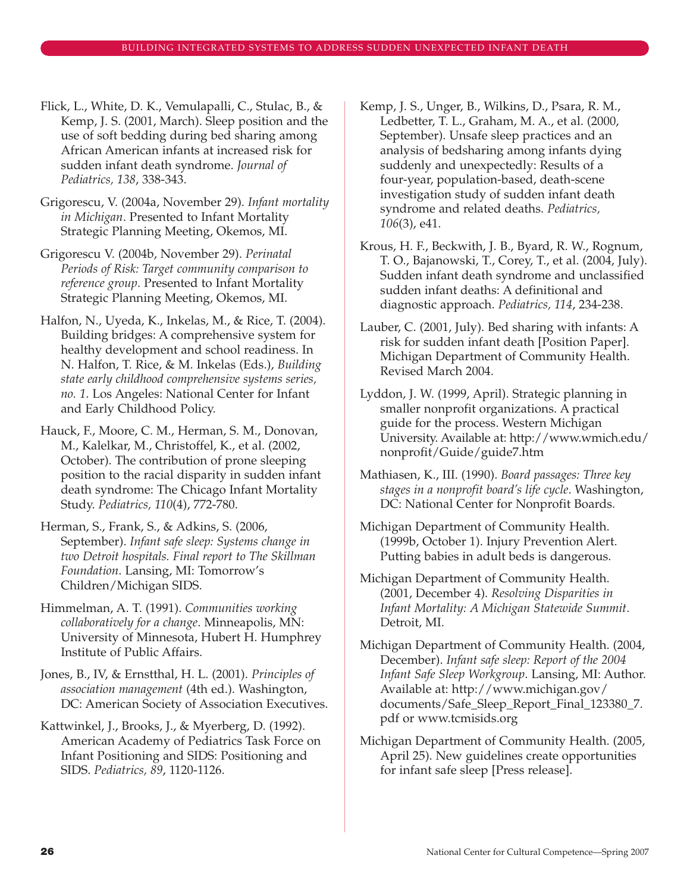Flick, L., White, D. K., Vemulapalli, C., Stulac, B., & Kemp, J. S. (2001, March). Sleep position and the use of soft bedding during bed sharing among African American infants at increased risk for sudden infant death syndrome. *Journal of Pediatrics, 138*, 338-343.

Grigorescu, V. (2004a, November 29). *Infant mortality in Michigan*. Presented to Infant Mortality Strategic Planning Meeting, Okemos, MI.

Grigorescu V. (2004b, November 29). *Perinatal Periods of Risk: Target community comparison to reference group*. Presented to Infant Mortality Strategic Planning Meeting, Okemos, MI.

Halfon, N., Uyeda, K., Inkelas, M., & Rice, T. (2004). Building bridges: A comprehensive system for healthy development and school readiness. In N. Halfon, T. Rice, & M. Inkelas (Eds.), *Building state early childhood comprehensive systems series, no. 1*. Los Angeles: National Center for Infant and Early Childhood Policy.

Hauck, F., Moore, C. M., Herman, S. M., Donovan, M., Kalelkar, M., Christoffel, K., et al. (2002, October). The contribution of prone sleeping position to the racial disparity in sudden infant death syndrome: The Chicago Infant Mortality Study. *Pediatrics, 110*(4), 772-780.

Herman, S., Frank, S., & Adkins, S. (2006, September). *Infant safe sleep: Systems change in two Detroit hospitals. Final report to The Skillman Foundation*. Lansing, MI: Tomorrow's Children/Michigan SIDS.

Himmelman, A. T. (1991). *Communities working collaboratively for a change*. Minneapolis, MN: University of Minnesota, Hubert H. Humphrey Institute of Public Affairs.

Jones, B., IV, & Ernstthal, H. L. (2001). *Principles of association management* (4th ed.). Washington, DC: American Society of Association Executives.

Kattwinkel, J., Brooks, J., & Myerberg, D. (1992). American Academy of Pediatrics Task Force on Infant Positioning and SIDS: Positioning and SIDS. *Pediatrics, 89*, 1120-1126.

Kemp, J. S., Unger, B., Wilkins, D., Psara, R. M., Ledbetter, T. L., Graham, M. A., et al. (2000, September). Unsafe sleep practices and an analysis of bedsharing among infants dying suddenly and unexpectedly: Results of a four-year, population-based, death-scene investigation study of sudden infant death syndrome and related deaths. *Pediatrics, 106*(3), e41.

Krous, H. F., Beckwith, J. B., Byard, R. W., Rognum, T. O., Bajanowski, T., Corey, T., et al. (2004, July). Sudden infant death syndrome and unclassified sudden infant deaths: A definitional and diagnostic approach. *Pediatrics, 114*, 234-238.

Lauber, C. (2001, July). Bed sharing with infants: A risk for sudden infant death [Position Paper]. Michigan Department of Community Health. Revised March 2004.

Lyddon, J. W. (1999, April). Strategic planning in smaller nonprofit organizations. A practical guide for the process. Western Michigan University. Available at: http://www.wmich.edu/ nonprofit/Guide/guide7.htm

Mathiasen, K., III. (1990). *Board passages: Three key stages in a nonprofit board's life cycle*. Washington, DC: National Center for Nonprofit Boards.

Michigan Department of Community Health. (1999b, October 1). Injury Prevention Alert. Putting babies in adult beds is dangerous.

Michigan Department of Community Health. (2001, December 4). *Resolving Disparities in Infant Mortality: A Michigan Statewide Summit*. Detroit, MI.

Michigan Department of Community Health. (2004, December). *Infant safe sleep: Report of the 2004 Infant Safe Sleep Workgroup*. Lansing, MI: Author. Available at: http://www.michigan.gov/ documents/Safe\_Sleep\_Report\_Final\_123380\_7. pdf or www.tcmisids.org

Michigan Department of Community Health. (2005, April 25). New guidelines create opportunities for infant safe sleep [Press release].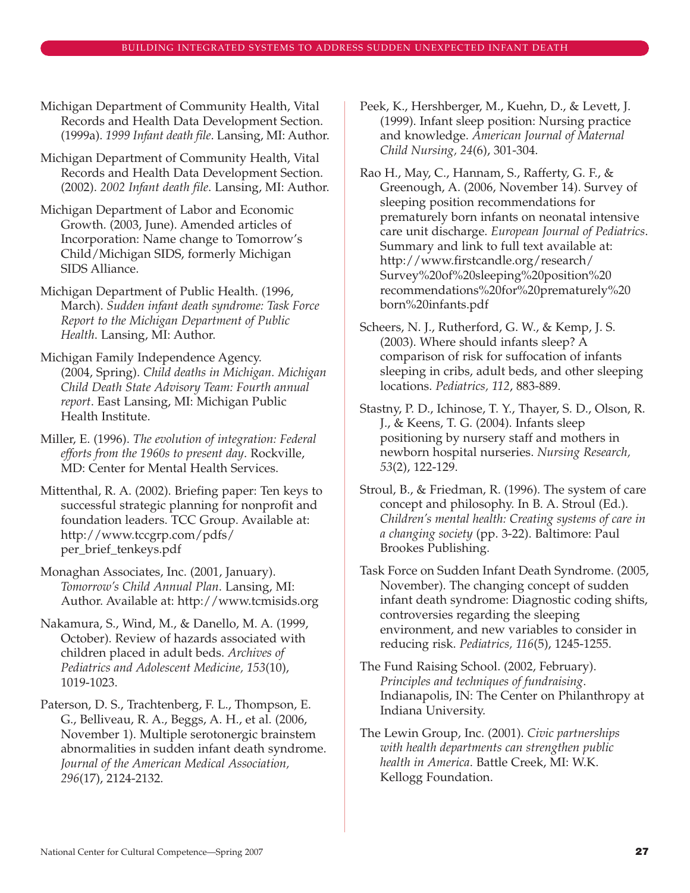Michigan Department of Community Health, Vital Records and Health Data Development Section. (1999a). *1999 Infant death file*. Lansing, MI: Author.

- Michigan Department of Community Health, Vital Records and Health Data Development Section. (2002). *2002 Infant death file*. Lansing, MI: Author.
- Michigan Department of Labor and Economic Growth. (2003, June). Amended articles of Incorporation: Name change to Tomorrow's Child/Michigan SIDS, formerly Michigan SIDS Alliance.
- Michigan Department of Public Health. (1996, March). *Sudden infant death syndrome: Task Force Report to the Michigan Department of Public Health*. Lansing, MI: Author.
- Michigan Family Independence Agency. (2004, Spring). *Child deaths in Michigan. Michigan Child Death State Advisory Team: Fourth annual report*. East Lansing, MI: Michigan Public Health Institute.
- Miller, E. (1996). *The evolution of integration: Federal efforts from the 1960s to present day*. Rockville, MD: Center for Mental Health Services.
- Mittenthal, R. A. (2002). Briefing paper: Ten keys to successful strategic planning for nonprofit and foundation leaders. TCC Group. Available at: http://www.tccgrp.com/pdfs/ per\_brief\_tenkeys.pdf
- Monaghan Associates, Inc. (2001, January). *Tomorrow's Child Annual Plan*. Lansing, MI: Author. Available at: http://www.tcmisids.org
- Nakamura, S., Wind, M., & Danello, M. A. (1999, October). Review of hazards associated with children placed in adult beds. *Archives of Pediatrics and Adolescent Medicine, 153*(10), 1019-1023.
- Paterson, D. S., Trachtenberg, F. L., Thompson, E. G., Belliveau, R. A., Beggs, A. H., et al. (2006, November 1). Multiple serotonergic brainstem abnormalities in sudden infant death syndrome. *Journal of the American Medical Association, 296*(17), 2124-2132.
- Peek, K., Hershberger, M., Kuehn, D., & Levett, J. (1999). Infant sleep position: Nursing practice and knowledge. *American Journal of Maternal Child Nursing, 24*(6), 301-304.
- Rao H., May, C., Hannam, S., Rafferty, G. F., & Greenough, A. (2006, November 14). Survey of sleeping position recommendations for prematurely born infants on neonatal intensive care unit discharge. *European Journal of Pediatrics*. Summary and link to full text available at: http://www.firstcandle.org/research/ Survey%20of%20sleeping%20position%20 recommendations%20for%20prematurely%20 born%20infants.pdf
- Scheers, N. J., Rutherford, G. W., & Kemp, J. S. (2003). Where should infants sleep? A comparison of risk for suffocation of infants sleeping in cribs, adult beds, and other sleeping locations. *Pediatrics, 112*, 883-889.
- Stastny, P. D., Ichinose, T. Y., Thayer, S. D., Olson, R. J., & Keens, T. G. (2004). Infants sleep positioning by nursery staff and mothers in newborn hospital nurseries. *Nursing Research, 53*(2), 122-129.
- Stroul, B., & Friedman, R. (1996). The system of care concept and philosophy. In B. A. Stroul (Ed.). *Children's mental health: Creating systems of care in a changing society* (pp. 3-22). Baltimore: Paul Brookes Publishing.
- Task Force on Sudden Infant Death Syndrome. (2005, November). The changing concept of sudden infant death syndrome: Diagnostic coding shifts, controversies regarding the sleeping environment, and new variables to consider in reducing risk. *Pediatrics, 116*(5), 1245-1255.
- The Fund Raising School. (2002, February). *Principles and techniques of fundraising*. Indianapolis, IN: The Center on Philanthropy at Indiana University.
- The Lewin Group, Inc. (2001). *Civic partnerships with health departments can strengthen public health in America*. Battle Creek, MI: W.K. Kellogg Foundation.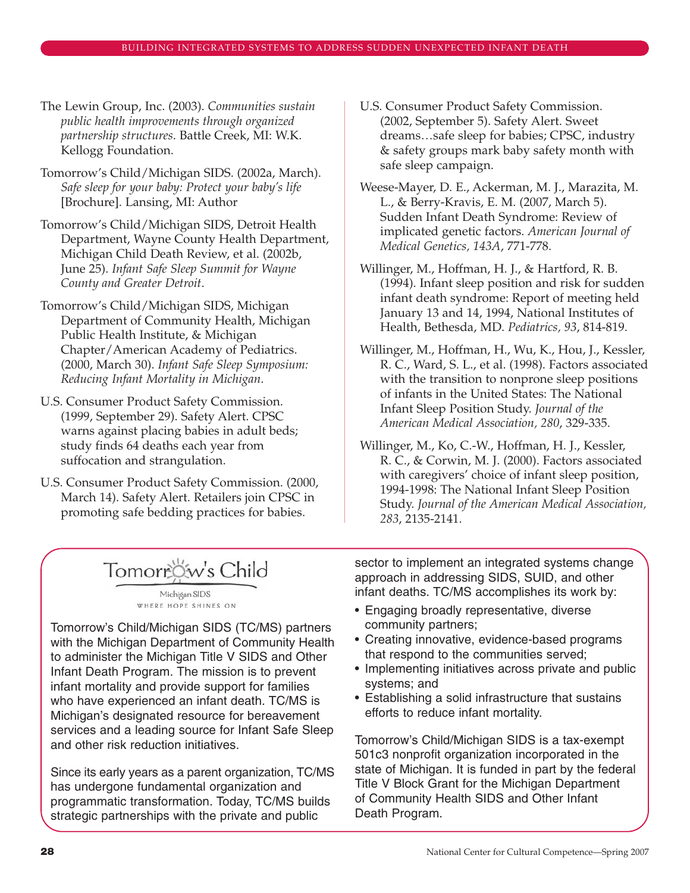- The Lewin Group, Inc. (2003). *Communities sustain public health improvements through organized partnership structures*. Battle Creek, MI: W.K. Kellogg Foundation.
- Tomorrow's Child/Michigan SIDS. (2002a, March). *Safe sleep for your baby: Protect your baby's life* [Brochure]. Lansing, MI: Author
- Tomorrow's Child/Michigan SIDS, Detroit Health Department, Wayne County Health Department, Michigan Child Death Review, et al. (2002b, June 25). *Infant Safe Sleep Summit for Wayne County and Greater Detroit*.
- Tomorrow's Child/Michigan SIDS, Michigan Department of Community Health, Michigan Public Health Institute, & Michigan Chapter/American Academy of Pediatrics. (2000, March 30). *Infant Safe Sleep Symposium: Reducing Infant Mortality in Michigan*.
- U.S. Consumer Product Safety Commission. (1999, September 29). Safety Alert. CPSC warns against placing babies in adult beds; study finds 64 deaths each year from suffocation and strangulation.
- U.S. Consumer Product Safety Commission. (2000, March 14). Safety Alert. Retailers join CPSC in promoting safe bedding practices for babies.
- U.S. Consumer Product Safety Commission. (2002, September 5). Safety Alert. Sweet dreams…safe sleep for babies; CPSC, industry & safety groups mark baby safety month with safe sleep campaign.
- Weese-Mayer, D. E., Ackerman, M. J., Marazita, M. L., & Berry-Kravis, E. M. (2007, March 5). Sudden Infant Death Syndrome: Review of implicated genetic factors. *American Journal of Medical Genetics, 143A*, 771-778.
- Willinger, M., Hoffman, H. J., & Hartford, R. B. (1994). Infant sleep position and risk for sudden infant death syndrome: Report of meeting held January 13 and 14, 1994, National Institutes of Health, Bethesda, MD. *Pediatrics, 93*, 814-819.
- Willinger, M., Hoffman, H., Wu, K., Hou, J., Kessler, R. C., Ward, S. L., et al. (1998). Factors associated with the transition to nonprone sleep positions of infants in the United States: The National Infant Sleep Position Study. *Journal of the American Medical Association, 280*, 329-335.
- Willinger, M., Ko, C.-W., Hoffman, H. J., Kessler, R. C., & Corwin, M. J. (2000). Factors associated with caregivers' choice of infant sleep position, 1994-1998: The National Infant Sleep Position Study. *Journal of the American Medical Association, 283*, 2135-2141.

# Tomorrow's Child

Michigan SIDS WHERE HOPE SHINES ON

Tomorrow's Child/Michigan SIDS (TC/MS) partners with the Michigan Department of Community Health to administer the Michigan Title V SIDS and Other Infant Death Program. The mission is to prevent infant mortality and provide support for families who have experienced an infant death. TC/MS is Michigan's designated resource for bereavement services and a leading source for Infant Safe Sleep and other risk reduction initiatives.

Since its early years as a parent organization, TC/MS has undergone fundamental organization and programmatic transformation. Today, TC/MS builds strategic partnerships with the private and public

sector to implement an integrated systems change approach in addressing SIDS, SUID, and other infant deaths. TC/MS accomplishes its work by:

- Engaging broadly representative, diverse community partners;
- Creating innovative, evidence-based programs that respond to the communities served;
- Implementing initiatives across private and public systems; and
- Establishing a solid infrastructure that sustains efforts to reduce infant mortality.

Tomorrow's Child/Michigan SIDS is a tax-exempt 501c3 nonprofit organization incorporated in the state of Michigan. It is funded in part by the federal Title V Block Grant for the Michigan Department of Community Health SIDS and Other Infant Death Program.